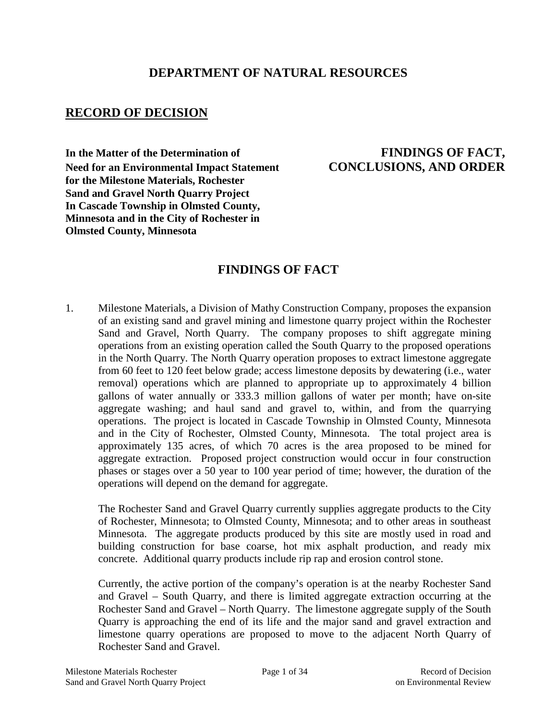## **DEPARTMENT OF NATURAL RESOURCES**

## **RECORD OF DECISION**

In the Matter of the Determination of **FINDINGS OF FACT, Need for an Environmental Impact Statement CONCLUSIONS, AND ORDER for the Milestone Materials, Rochester Sand and Gravel North Quarry Project In Cascade Township in Olmsted County, Minnesota and in the City of Rochester in Olmsted County, Minnesota**

# **FINDINGS OF FACT**

1. Milestone Materials, a Division of Mathy Construction Company, proposes the expansion of an existing sand and gravel mining and limestone quarry project within the Rochester Sand and Gravel, North Quarry. The company proposes to shift aggregate mining operations from an existing operation called the South Quarry to the proposed operations in the North Quarry. The North Quarry operation proposes to extract limestone aggregate from 60 feet to 120 feet below grade; access limestone deposits by dewatering (i.e., water removal) operations which are planned to appropriate up to approximately 4 billion gallons of water annually or 333.3 million gallons of water per month; have on-site aggregate washing; and haul sand and gravel to, within, and from the quarrying operations. The project is located in Cascade Township in Olmsted County, Minnesota and in the City of Rochester, Olmsted County, Minnesota. The total project area is approximately 135 acres, of which 70 acres is the area proposed to be mined for aggregate extraction. Proposed project construction would occur in four construction phases or stages over a 50 year to 100 year period of time; however, the duration of the operations will depend on the demand for aggregate.

The Rochester Sand and Gravel Quarry currently supplies aggregate products to the City of Rochester, Minnesota; to Olmsted County, Minnesota; and to other areas in southeast Minnesota. The aggregate products produced by this site are mostly used in road and building construction for base coarse, hot mix asphalt production, and ready mix concrete. Additional quarry products include rip rap and erosion control stone.

Currently, the active portion of the company's operation is at the nearby Rochester Sand and Gravel – South Quarry, and there is limited aggregate extraction occurring at the Rochester Sand and Gravel – North Quarry. The limestone aggregate supply of the South Quarry is approaching the end of its life and the major sand and gravel extraction and limestone quarry operations are proposed to move to the adjacent North Quarry of Rochester Sand and Gravel.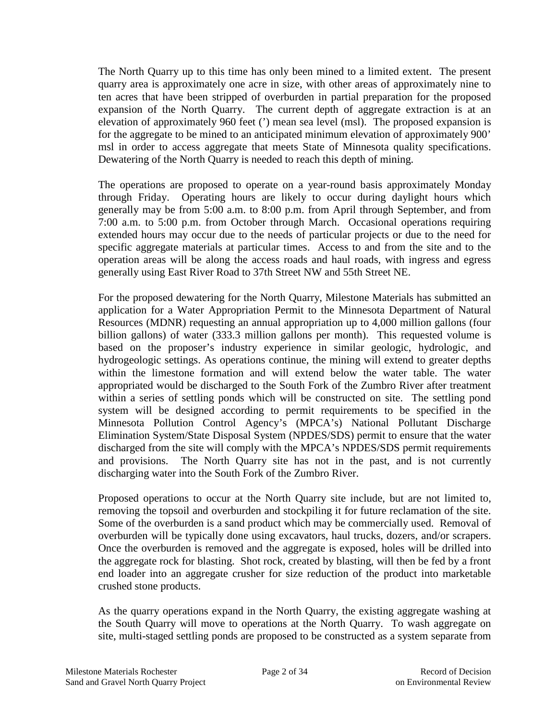The North Quarry up to this time has only been mined to a limited extent. The present quarry area is approximately one acre in size, with other areas of approximately nine to ten acres that have been stripped of overburden in partial preparation for the proposed expansion of the North Quarry. The current depth of aggregate extraction is at an elevation of approximately 960 feet (') mean sea level (msl). The proposed expansion is for the aggregate to be mined to an anticipated minimum elevation of approximately 900' msl in order to access aggregate that meets State of Minnesota quality specifications. Dewatering of the North Quarry is needed to reach this depth of mining.

The operations are proposed to operate on a year-round basis approximately Monday through Friday. Operating hours are likely to occur during daylight hours which generally may be from 5:00 a.m. to 8:00 p.m. from April through September, and from 7:00 a.m. to 5:00 p.m. from October through March. Occasional operations requiring extended hours may occur due to the needs of particular projects or due to the need for specific aggregate materials at particular times. Access to and from the site and to the operation areas will be along the access roads and haul roads, with ingress and egress generally using East River Road to 37th Street NW and 55th Street NE.

For the proposed dewatering for the North Quarry, Milestone Materials has submitted an application for a Water Appropriation Permit to the Minnesota Department of Natural Resources (MDNR) requesting an annual appropriation up to 4,000 million gallons (four billion gallons) of water (333.3 million gallons per month). This requested volume is based on the proposer's industry experience in similar geologic, hydrologic, and hydrogeologic settings. As operations continue, the mining will extend to greater depths within the limestone formation and will extend below the water table. The water appropriated would be discharged to the South Fork of the Zumbro River after treatment within a series of settling ponds which will be constructed on site. The settling pond system will be designed according to permit requirements to be specified in the Minnesota Pollution Control Agency's (MPCA's) National Pollutant Discharge Elimination System/State Disposal System (NPDES/SDS) permit to ensure that the water discharged from the site will comply with the MPCA's NPDES/SDS permit requirements and provisions. The North Quarry site has not in the past, and is not currently discharging water into the South Fork of the Zumbro River.

Proposed operations to occur at the North Quarry site include, but are not limited to, removing the topsoil and overburden and stockpiling it for future reclamation of the site. Some of the overburden is a sand product which may be commercially used. Removal of overburden will be typically done using excavators, haul trucks, dozers, and/or scrapers. Once the overburden is removed and the aggregate is exposed, holes will be drilled into the aggregate rock for blasting. Shot rock, created by blasting, will then be fed by a front end loader into an aggregate crusher for size reduction of the product into marketable crushed stone products.

As the quarry operations expand in the North Quarry, the existing aggregate washing at the South Quarry will move to operations at the North Quarry. To wash aggregate on site, multi-staged settling ponds are proposed to be constructed as a system separate from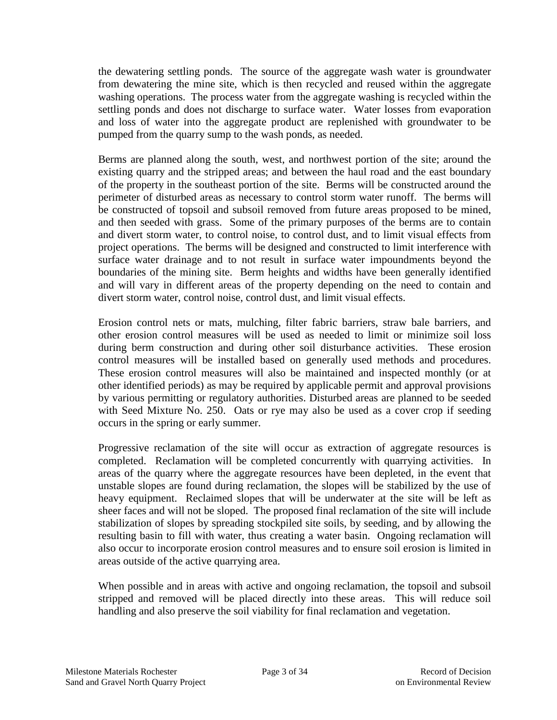the dewatering settling ponds. The source of the aggregate wash water is groundwater from dewatering the mine site, which is then recycled and reused within the aggregate washing operations. The process water from the aggregate washing is recycled within the settling ponds and does not discharge to surface water. Water losses from evaporation and loss of water into the aggregate product are replenished with groundwater to be pumped from the quarry sump to the wash ponds, as needed.

Berms are planned along the south, west, and northwest portion of the site; around the existing quarry and the stripped areas; and between the haul road and the east boundary of the property in the southeast portion of the site. Berms will be constructed around the perimeter of disturbed areas as necessary to control storm water runoff. The berms will be constructed of topsoil and subsoil removed from future areas proposed to be mined, and then seeded with grass. Some of the primary purposes of the berms are to contain and divert storm water, to control noise, to control dust, and to limit visual effects from project operations. The berms will be designed and constructed to limit interference with surface water drainage and to not result in surface water impoundments beyond the boundaries of the mining site. Berm heights and widths have been generally identified and will vary in different areas of the property depending on the need to contain and divert storm water, control noise, control dust, and limit visual effects.

Erosion control nets or mats, mulching, filter fabric barriers, straw bale barriers, and other erosion control measures will be used as needed to limit or minimize soil loss during berm construction and during other soil disturbance activities. These erosion control measures will be installed based on generally used methods and procedures. These erosion control measures will also be maintained and inspected monthly (or at other identified periods) as may be required by applicable permit and approval provisions by various permitting or regulatory authorities. Disturbed areas are planned to be seeded with Seed Mixture No. 250. Oats or rye may also be used as a cover crop if seeding occurs in the spring or early summer.

Progressive reclamation of the site will occur as extraction of aggregate resources is completed. Reclamation will be completed concurrently with quarrying activities. In areas of the quarry where the aggregate resources have been depleted, in the event that unstable slopes are found during reclamation, the slopes will be stabilized by the use of heavy equipment. Reclaimed slopes that will be underwater at the site will be left as sheer faces and will not be sloped. The proposed final reclamation of the site will include stabilization of slopes by spreading stockpiled site soils, by seeding, and by allowing the resulting basin to fill with water, thus creating a water basin. Ongoing reclamation will also occur to incorporate erosion control measures and to ensure soil erosion is limited in areas outside of the active quarrying area.

When possible and in areas with active and ongoing reclamation, the topsoil and subsoil stripped and removed will be placed directly into these areas. This will reduce soil handling and also preserve the soil viability for final reclamation and vegetation.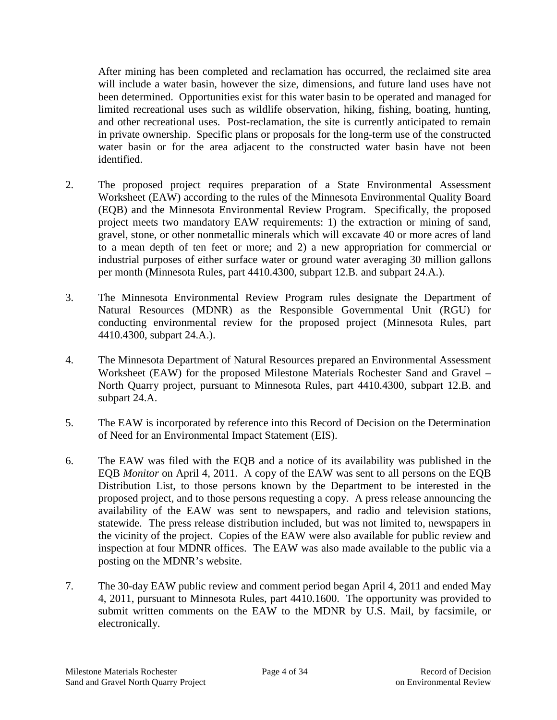After mining has been completed and reclamation has occurred, the reclaimed site area will include a water basin, however the size, dimensions, and future land uses have not been determined. Opportunities exist for this water basin to be operated and managed for limited recreational uses such as wildlife observation, hiking, fishing, boating, hunting, and other recreational uses. Post-reclamation, the site is currently anticipated to remain in private ownership. Specific plans or proposals for the long-term use of the constructed water basin or for the area adjacent to the constructed water basin have not been identified.

- 2. The proposed project requires preparation of a State Environmental Assessment Worksheet (EAW) according to the rules of the Minnesota Environmental Quality Board (EQB) and the Minnesota Environmental Review Program. Specifically, the proposed project meets two mandatory EAW requirements: 1) the extraction or mining of sand, gravel, stone, or other nonmetallic minerals which will excavate 40 or more acres of land to a mean depth of ten feet or more; and 2) a new appropriation for commercial or industrial purposes of either surface water or ground water averaging 30 million gallons per month (Minnesota Rules, part 4410.4300, subpart 12.B. and subpart 24.A.).
- 3. The Minnesota Environmental Review Program rules designate the Department of Natural Resources (MDNR) as the Responsible Governmental Unit (RGU) for conducting environmental review for the proposed project (Minnesota Rules, part 4410.4300, subpart 24.A.).
- 4. The Minnesota Department of Natural Resources prepared an Environmental Assessment Worksheet (EAW) for the proposed Milestone Materials Rochester Sand and Gravel – North Quarry project, pursuant to Minnesota Rules, part 4410.4300, subpart 12.B. and subpart 24.A.
- 5. The EAW is incorporated by reference into this Record of Decision on the Determination of Need for an Environmental Impact Statement (EIS).
- 6. The EAW was filed with the EQB and a notice of its availability was published in the EQB *Monitor* on April 4, 2011. A copy of the EAW was sent to all persons on the EQB Distribution List, to those persons known by the Department to be interested in the proposed project, and to those persons requesting a copy. A press release announcing the availability of the EAW was sent to newspapers, and radio and television stations, statewide. The press release distribution included, but was not limited to, newspapers in the vicinity of the project. Copies of the EAW were also available for public review and inspection at four MDNR offices. The EAW was also made available to the public via a posting on the MDNR's website.
- 7. The 30-day EAW public review and comment period began April 4, 2011 and ended May 4, 2011, pursuant to Minnesota Rules, part 4410.1600. The opportunity was provided to submit written comments on the EAW to the MDNR by U.S. Mail, by facsimile, or electronically.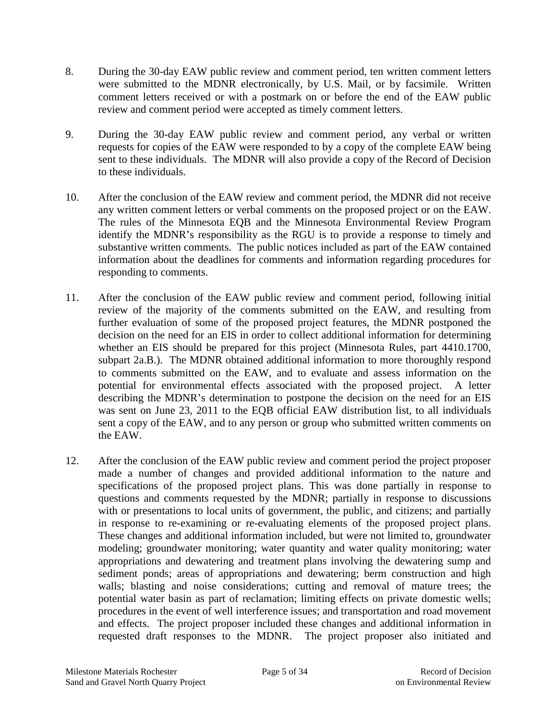- 8. During the 30-day EAW public review and comment period, ten written comment letters were submitted to the MDNR electronically, by U.S. Mail, or by facsimile. Written comment letters received or with a postmark on or before the end of the EAW public review and comment period were accepted as timely comment letters.
- 9. During the 30-day EAW public review and comment period, any verbal or written requests for copies of the EAW were responded to by a copy of the complete EAW being sent to these individuals. The MDNR will also provide a copy of the Record of Decision to these individuals.
- 10. After the conclusion of the EAW review and comment period, the MDNR did not receive any written comment letters or verbal comments on the proposed project or on the EAW. The rules of the Minnesota EQB and the Minnesota Environmental Review Program identify the MDNR's responsibility as the RGU is to provide a response to timely and substantive written comments. The public notices included as part of the EAW contained information about the deadlines for comments and information regarding procedures for responding to comments.
- 11. After the conclusion of the EAW public review and comment period, following initial review of the majority of the comments submitted on the EAW, and resulting from further evaluation of some of the proposed project features, the MDNR postponed the decision on the need for an EIS in order to collect additional information for determining whether an EIS should be prepared for this project (Minnesota Rules, part 4410.1700, subpart 2a.B.). The MDNR obtained additional information to more thoroughly respond to comments submitted on the EAW, and to evaluate and assess information on the potential for environmental effects associated with the proposed project. A letter describing the MDNR's determination to postpone the decision on the need for an EIS was sent on June 23, 2011 to the EQB official EAW distribution list, to all individuals sent a copy of the EAW, and to any person or group who submitted written comments on the EAW.
- 12. After the conclusion of the EAW public review and comment period the project proposer made a number of changes and provided additional information to the nature and specifications of the proposed project plans. This was done partially in response to questions and comments requested by the MDNR; partially in response to discussions with or presentations to local units of government, the public, and citizens; and partially in response to re-examining or re-evaluating elements of the proposed project plans. These changes and additional information included, but were not limited to, groundwater modeling; groundwater monitoring; water quantity and water quality monitoring; water appropriations and dewatering and treatment plans involving the dewatering sump and sediment ponds; areas of appropriations and dewatering; berm construction and high walls; blasting and noise considerations; cutting and removal of mature trees; the potential water basin as part of reclamation; limiting effects on private domestic wells; procedures in the event of well interference issues; and transportation and road movement and effects. The project proposer included these changes and additional information in requested draft responses to the MDNR. The project proposer also initiated and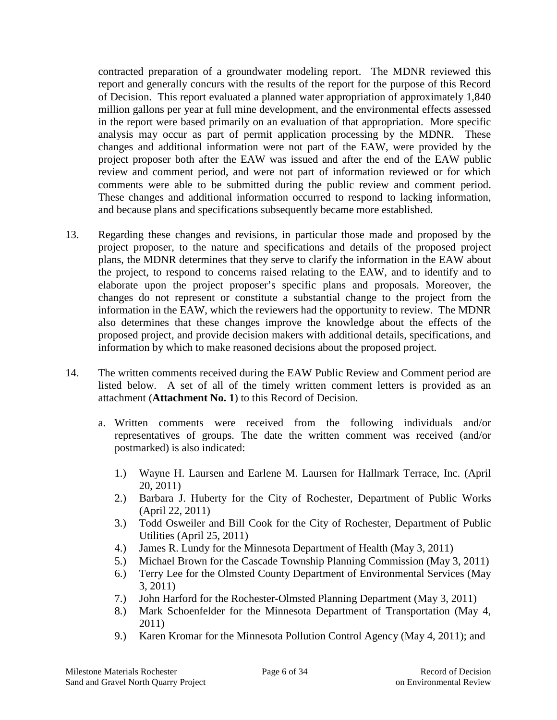contracted preparation of a groundwater modeling report. The MDNR reviewed this report and generally concurs with the results of the report for the purpose of this Record of Decision. This report evaluated a planned water appropriation of approximately 1,840 million gallons per year at full mine development, and the environmental effects assessed in the report were based primarily on an evaluation of that appropriation. More specific analysis may occur as part of permit application processing by the MDNR. These changes and additional information were not part of the EAW, were provided by the project proposer both after the EAW was issued and after the end of the EAW public review and comment period, and were not part of information reviewed or for which comments were able to be submitted during the public review and comment period. These changes and additional information occurred to respond to lacking information, and because plans and specifications subsequently became more established.

- 13. Regarding these changes and revisions, in particular those made and proposed by the project proposer, to the nature and specifications and details of the proposed project plans, the MDNR determines that they serve to clarify the information in the EAW about the project, to respond to concerns raised relating to the EAW, and to identify and to elaborate upon the project proposer's specific plans and proposals. Moreover, the changes do not represent or constitute a substantial change to the project from the information in the EAW, which the reviewers had the opportunity to review. The MDNR also determines that these changes improve the knowledge about the effects of the proposed project, and provide decision makers with additional details, specifications, and information by which to make reasoned decisions about the proposed project.
- 14. The written comments received during the EAW Public Review and Comment period are listed below. A set of all of the timely written comment letters is provided as an attachment (**Attachment No. 1**) to this Record of Decision.
	- a. Written comments were received from the following individuals and/or representatives of groups. The date the written comment was received (and/or postmarked) is also indicated:
		- 1.) Wayne H. Laursen and Earlene M. Laursen for Hallmark Terrace, Inc. (April 20, 2011)
		- 2.) Barbara J. Huberty for the City of Rochester, Department of Public Works (April 22, 2011)
		- 3.) Todd Osweiler and Bill Cook for the City of Rochester, Department of Public Utilities (April 25, 2011)
		- 4.) James R. Lundy for the Minnesota Department of Health (May 3, 2011)
		- 5.) Michael Brown for the Cascade Township Planning Commission (May 3, 2011)
		- 6.) Terry Lee for the Olmsted County Department of Environmental Services (May 3, 2011)
		- 7.) John Harford for the Rochester-Olmsted Planning Department (May 3, 2011)
		- 8.) Mark Schoenfelder for the Minnesota Department of Transportation (May 4, 2011)
		- 9.) Karen Kromar for the Minnesota Pollution Control Agency (May 4, 2011); and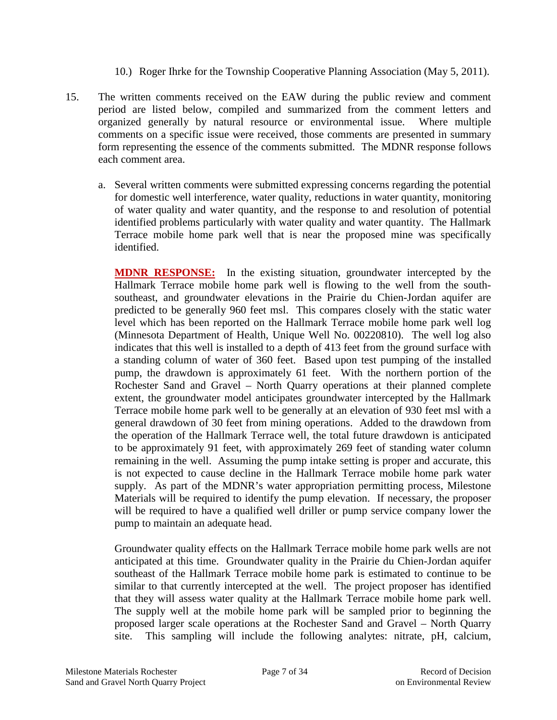- 10.) Roger Ihrke for the Township Cooperative Planning Association (May 5, 2011).
- 15. The written comments received on the EAW during the public review and comment period are listed below, compiled and summarized from the comment letters and organized generally by natural resource or environmental issue. Where multiple comments on a specific issue were received, those comments are presented in summary form representing the essence of the comments submitted. The MDNR response follows each comment area.
	- a. Several written comments were submitted expressing concerns regarding the potential for domestic well interference, water quality, reductions in water quantity, monitoring of water quality and water quantity, and the response to and resolution of potential identified problems particularly with water quality and water quantity. The Hallmark Terrace mobile home park well that is near the proposed mine was specifically identified.

**MDNR RESPONSE:** In the existing situation, groundwater intercepted by the Hallmark Terrace mobile home park well is flowing to the well from the southsoutheast, and groundwater elevations in the Prairie du Chien-Jordan aquifer are predicted to be generally 960 feet msl. This compares closely with the static water level which has been reported on the Hallmark Terrace mobile home park well log (Minnesota Department of Health, Unique Well No. 00220810). The well log also indicates that this well is installed to a depth of 413 feet from the ground surface with a standing column of water of 360 feet. Based upon test pumping of the installed pump, the drawdown is approximately 61 feet. With the northern portion of the Rochester Sand and Gravel – North Quarry operations at their planned complete extent, the groundwater model anticipates groundwater intercepted by the Hallmark Terrace mobile home park well to be generally at an elevation of 930 feet msl with a general drawdown of 30 feet from mining operations. Added to the drawdown from the operation of the Hallmark Terrace well, the total future drawdown is anticipated to be approximately 91 feet, with approximately 269 feet of standing water column remaining in the well. Assuming the pump intake setting is proper and accurate, this is not expected to cause decline in the Hallmark Terrace mobile home park water supply. As part of the MDNR's water appropriation permitting process, Milestone Materials will be required to identify the pump elevation. If necessary, the proposer will be required to have a qualified well driller or pump service company lower the pump to maintain an adequate head.

Groundwater quality effects on the Hallmark Terrace mobile home park wells are not anticipated at this time. Groundwater quality in the Prairie du Chien-Jordan aquifer southeast of the Hallmark Terrace mobile home park is estimated to continue to be similar to that currently intercepted at the well. The project proposer has identified that they will assess water quality at the Hallmark Terrace mobile home park well. The supply well at the mobile home park will be sampled prior to beginning the proposed larger scale operations at the Rochester Sand and Gravel – North Quarry site. This sampling will include the following analytes: nitrate, pH, calcium,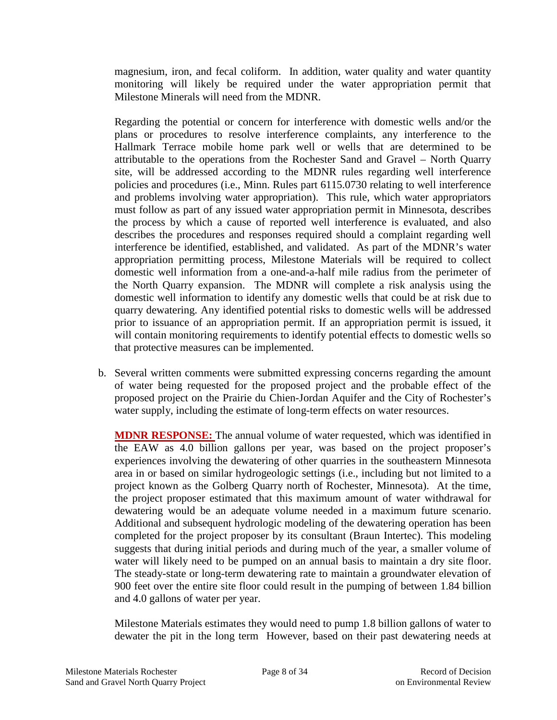magnesium, iron, and fecal coliform. In addition, water quality and water quantity monitoring will likely be required under the water appropriation permit that Milestone Minerals will need from the MDNR.

Regarding the potential or concern for interference with domestic wells and/or the plans or procedures to resolve interference complaints, any interference to the Hallmark Terrace mobile home park well or wells that are determined to be attributable to the operations from the Rochester Sand and Gravel – North Quarry site, will be addressed according to the MDNR rules regarding well interference policies and procedures (i.e., Minn. Rules part 6115.0730 relating to well interference and problems involving water appropriation). This rule, which water appropriators must follow as part of any issued water appropriation permit in Minnesota, describes the process by which a cause of reported well interference is evaluated, and also describes the procedures and responses required should a complaint regarding well interference be identified, established, and validated. As part of the MDNR's water appropriation permitting process, Milestone Materials will be required to collect domestic well information from a one-and-a-half mile radius from the perimeter of the North Quarry expansion. The MDNR will complete a risk analysis using the domestic well information to identify any domestic wells that could be at risk due to quarry dewatering. Any identified potential risks to domestic wells will be addressed prior to issuance of an appropriation permit. If an appropriation permit is issued, it will contain monitoring requirements to identify potential effects to domestic wells so that protective measures can be implemented.

b. Several written comments were submitted expressing concerns regarding the amount of water being requested for the proposed project and the probable effect of the proposed project on the Prairie du Chien-Jordan Aquifer and the City of Rochester's water supply, including the estimate of long-term effects on water resources.

**MDNR RESPONSE:** The annual volume of water requested, which was identified in the EAW as 4.0 billion gallons per year, was based on the project proposer's experiences involving the dewatering of other quarries in the southeastern Minnesota area in or based on similar hydrogeologic settings (i.e., including but not limited to a project known as the Golberg Quarry north of Rochester, Minnesota). At the time, the project proposer estimated that this maximum amount of water withdrawal for dewatering would be an adequate volume needed in a maximum future scenario. Additional and subsequent hydrologic modeling of the dewatering operation has been completed for the project proposer by its consultant (Braun Intertec). This modeling suggests that during initial periods and during much of the year, a smaller volume of water will likely need to be pumped on an annual basis to maintain a dry site floor. The steady-state or long-term dewatering rate to maintain a groundwater elevation of 900 feet over the entire site floor could result in the pumping of between 1.84 billion and 4.0 gallons of water per year.

Milestone Materials estimates they would need to pump 1.8 billion gallons of water to dewater the pit in the long term However, based on their past dewatering needs at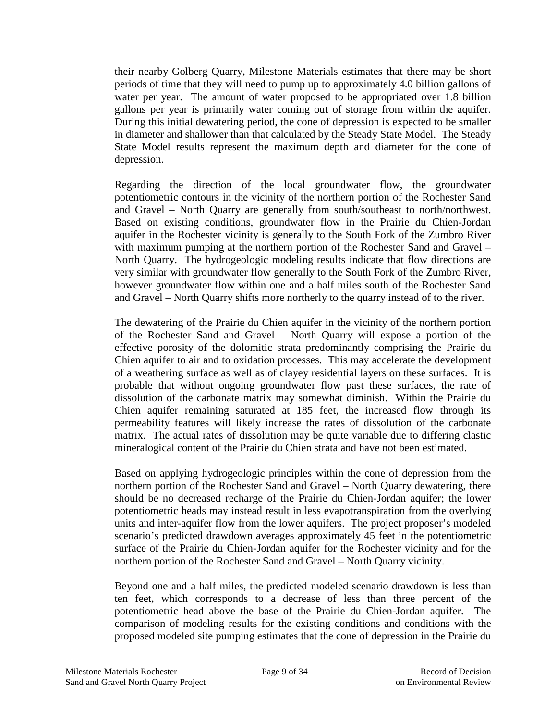their nearby Golberg Quarry, Milestone Materials estimates that there may be short periods of time that they will need to pump up to approximately 4.0 billion gallons of water per year. The amount of water proposed to be appropriated over 1.8 billion gallons per year is primarily water coming out of storage from within the aquifer. During this initial dewatering period, the cone of depression is expected to be smaller in diameter and shallower than that calculated by the Steady State Model. The Steady State Model results represent the maximum depth and diameter for the cone of depression.

Regarding the direction of the local groundwater flow, the groundwater potentiometric contours in the vicinity of the northern portion of the Rochester Sand and Gravel – North Quarry are generally from south/southeast to north/northwest. Based on existing conditions, groundwater flow in the Prairie du Chien-Jordan aquifer in the Rochester vicinity is generally to the South Fork of the Zumbro River with maximum pumping at the northern portion of the Rochester Sand and Gravel – North Quarry. The hydrogeologic modeling results indicate that flow directions are very similar with groundwater flow generally to the South Fork of the Zumbro River, however groundwater flow within one and a half miles south of the Rochester Sand and Gravel – North Quarry shifts more northerly to the quarry instead of to the river.

The dewatering of the Prairie du Chien aquifer in the vicinity of the northern portion of the Rochester Sand and Gravel – North Quarry will expose a portion of the effective porosity of the dolomitic strata predominantly comprising the Prairie du Chien aquifer to air and to oxidation processes. This may accelerate the development of a weathering surface as well as of clayey residential layers on these surfaces. It is probable that without ongoing groundwater flow past these surfaces, the rate of dissolution of the carbonate matrix may somewhat diminish. Within the Prairie du Chien aquifer remaining saturated at 185 feet, the increased flow through its permeability features will likely increase the rates of dissolution of the carbonate matrix. The actual rates of dissolution may be quite variable due to differing clastic mineralogical content of the Prairie du Chien strata and have not been estimated.

Based on applying hydrogeologic principles within the cone of depression from the northern portion of the Rochester Sand and Gravel – North Quarry dewatering, there should be no decreased recharge of the Prairie du Chien-Jordan aquifer; the lower potentiometric heads may instead result in less evapotranspiration from the overlying units and inter-aquifer flow from the lower aquifers. The project proposer's modeled scenario's predicted drawdown averages approximately 45 feet in the potentiometric surface of the Prairie du Chien-Jordan aquifer for the Rochester vicinity and for the northern portion of the Rochester Sand and Gravel – North Quarry vicinity.

Beyond one and a half miles, the predicted modeled scenario drawdown is less than ten feet, which corresponds to a decrease of less than three percent of the potentiometric head above the base of the Prairie du Chien-Jordan aquifer. The comparison of modeling results for the existing conditions and conditions with the proposed modeled site pumping estimates that the cone of depression in the Prairie du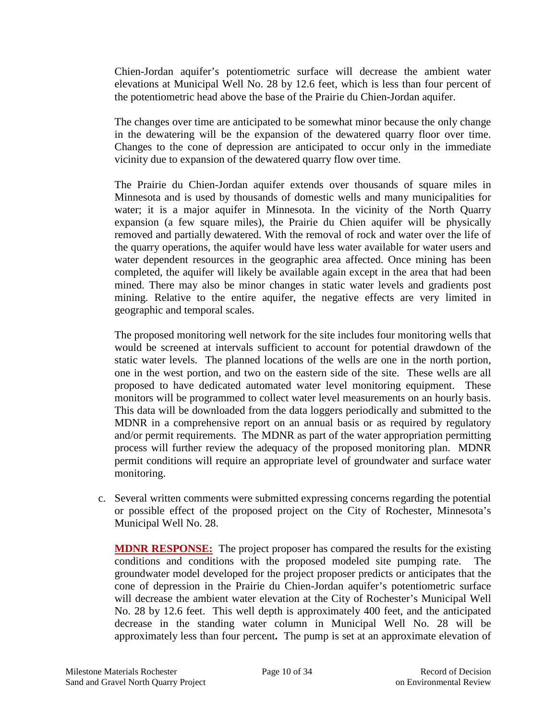Chien-Jordan aquifer's potentiometric surface will decrease the ambient water elevations at Municipal Well No. 28 by 12.6 feet, which is less than four percent of the potentiometric head above the base of the Prairie du Chien-Jordan aquifer.

The changes over time are anticipated to be somewhat minor because the only change in the dewatering will be the expansion of the dewatered quarry floor over time. Changes to the cone of depression are anticipated to occur only in the immediate vicinity due to expansion of the dewatered quarry flow over time.

The Prairie du Chien-Jordan aquifer extends over thousands of square miles in Minnesota and is used by thousands of domestic wells and many municipalities for water; it is a major aquifer in Minnesota. In the vicinity of the North Quarry expansion (a few square miles), the Prairie du Chien aquifer will be physically removed and partially dewatered. With the removal of rock and water over the life of the quarry operations, the aquifer would have less water available for water users and water dependent resources in the geographic area affected. Once mining has been completed, the aquifer will likely be available again except in the area that had been mined. There may also be minor changes in static water levels and gradients post mining. Relative to the entire aquifer, the negative effects are very limited in geographic and temporal scales.

The proposed monitoring well network for the site includes four monitoring wells that would be screened at intervals sufficient to account for potential drawdown of the static water levels. The planned locations of the wells are one in the north portion, one in the west portion, and two on the eastern side of the site. These wells are all proposed to have dedicated automated water level monitoring equipment. These monitors will be programmed to collect water level measurements on an hourly basis. This data will be downloaded from the data loggers periodically and submitted to the MDNR in a comprehensive report on an annual basis or as required by regulatory and/or permit requirements. The MDNR as part of the water appropriation permitting process will further review the adequacy of the proposed monitoring plan. MDNR permit conditions will require an appropriate level of groundwater and surface water monitoring.

c. Several written comments were submitted expressing concerns regarding the potential or possible effect of the proposed project on the City of Rochester, Minnesota's Municipal Well No. 28.

**MDNR RESPONSE:** The project proposer has compared the results for the existing conditions and conditions with the proposed modeled site pumping rate. The groundwater model developed for the project proposer predicts or anticipates that the cone of depression in the Prairie du Chien-Jordan aquifer's potentiometric surface will decrease the ambient water elevation at the City of Rochester's Municipal Well No. 28 by 12.6 feet. This well depth is approximately 400 feet, and the anticipated decrease in the standing water column in Municipal Well No. 28 will be approximately less than four percent**.** The pump is set at an approximate elevation of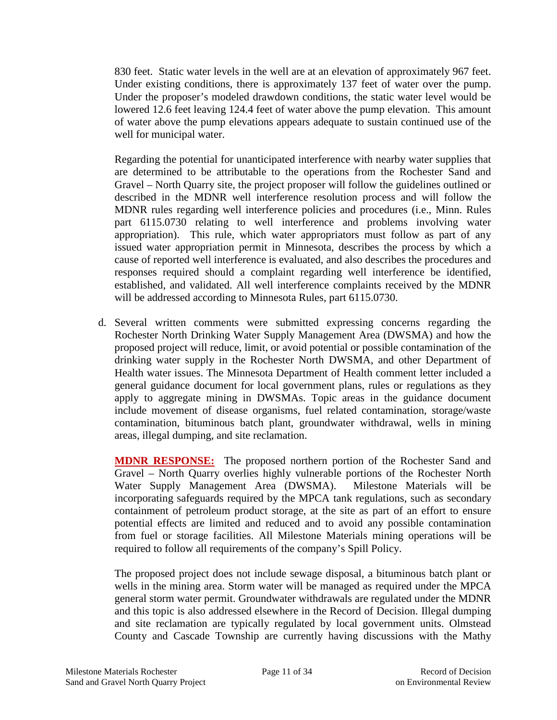830 feet. Static water levels in the well are at an elevation of approximately 967 feet. Under existing conditions, there is approximately 137 feet of water over the pump. Under the proposer's modeled drawdown conditions, the static water level would be lowered 12.6 feet leaving 124.4 feet of water above the pump elevation. This amount of water above the pump elevations appears adequate to sustain continued use of the well for municipal water.

Regarding the potential for unanticipated interference with nearby water supplies that are determined to be attributable to the operations from the Rochester Sand and Gravel – North Quarry site, the project proposer will follow the guidelines outlined or described in the MDNR well interference resolution process and will follow the MDNR rules regarding well interference policies and procedures (i.e., Minn. Rules part 6115.0730 relating to well interference and problems involving water appropriation). This rule, which water appropriators must follow as part of any issued water appropriation permit in Minnesota, describes the process by which a cause of reported well interference is evaluated, and also describes the procedures and responses required should a complaint regarding well interference be identified, established, and validated. All well interference complaints received by the MDNR will be addressed according to Minnesota Rules, part 6115.0730.

d. Several written comments were submitted expressing concerns regarding the Rochester North Drinking Water Supply Management Area (DWSMA) and how the proposed project will reduce, limit, or avoid potential or possible contamination of the drinking water supply in the Rochester North DWSMA, and other Department of Health water issues. The Minnesota Department of Health comment letter included a general guidance document for local government plans, rules or regulations as they apply to aggregate mining in DWSMAs. Topic areas in the guidance document include movement of disease organisms, fuel related contamination, storage/waste contamination, bituminous batch plant, groundwater withdrawal, wells in mining areas, illegal dumping, and site reclamation.

**MDNR RESPONSE:** The proposed northern portion of the Rochester Sand and Gravel – North Quarry overlies highly vulnerable portions of the Rochester North Water Supply Management Area (DWSMA). Milestone Materials will be incorporating safeguards required by the MPCA tank regulations, such as secondary containment of petroleum product storage, at the site as part of an effort to ensure potential effects are limited and reduced and to avoid any possible contamination from fuel or storage facilities. All Milestone Materials mining operations will be required to follow all requirements of the company's Spill Policy.

The proposed project does not include sewage disposal, a bituminous batch plant or wells in the mining area. Storm water will be managed as required under the MPCA general storm water permit. Groundwater withdrawals are regulated under the MDNR and this topic is also addressed elsewhere in the Record of Decision. Illegal dumping and site reclamation are typically regulated by local government units. Olmstead County and Cascade Township are currently having discussions with the Mathy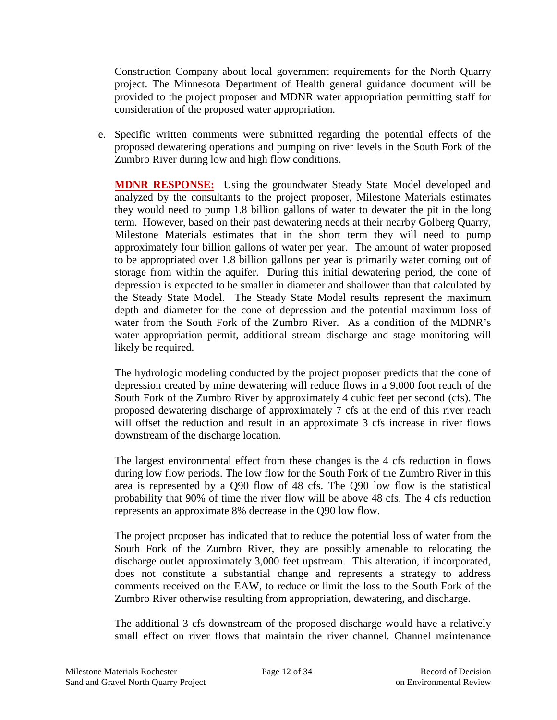Construction Company about local government requirements for the North Quarry project. The Minnesota Department of Health general guidance document will be provided to the project proposer and MDNR water appropriation permitting staff for consideration of the proposed water appropriation.

e. Specific written comments were submitted regarding the potential effects of the proposed dewatering operations and pumping on river levels in the South Fork of the Zumbro River during low and high flow conditions.

**MDNR RESPONSE:** Using the groundwater Steady State Model developed and analyzed by the consultants to the project proposer, Milestone Materials estimates they would need to pump 1.8 billion gallons of water to dewater the pit in the long term. However, based on their past dewatering needs at their nearby Golberg Quarry, Milestone Materials estimates that in the short term they will need to pump approximately four billion gallons of water per year. The amount of water proposed to be appropriated over 1.8 billion gallons per year is primarily water coming out of storage from within the aquifer. During this initial dewatering period, the cone of depression is expected to be smaller in diameter and shallower than that calculated by the Steady State Model. The Steady State Model results represent the maximum depth and diameter for the cone of depression and the potential maximum loss of water from the South Fork of the Zumbro River. As a condition of the MDNR's water appropriation permit, additional stream discharge and stage monitoring will likely be required.

The hydrologic modeling conducted by the project proposer predicts that the cone of depression created by mine dewatering will reduce flows in a 9,000 foot reach of the South Fork of the Zumbro River by approximately 4 cubic feet per second (cfs). The proposed dewatering discharge of approximately 7 cfs at the end of this river reach will offset the reduction and result in an approximate 3 cfs increase in river flows downstream of the discharge location.

The largest environmental effect from these changes is the 4 cfs reduction in flows during low flow periods. The low flow for the South Fork of the Zumbro River in this area is represented by a Q90 flow of 48 cfs. The Q90 low flow is the statistical probability that 90% of time the river flow will be above 48 cfs. The 4 cfs reduction represents an approximate 8% decrease in the Q90 low flow.

The project proposer has indicated that to reduce the potential loss of water from the South Fork of the Zumbro River, they are possibly amenable to relocating the discharge outlet approximately 3,000 feet upstream. This alteration, if incorporated, does not constitute a substantial change and represents a strategy to address comments received on the EAW, to reduce or limit the loss to the South Fork of the Zumbro River otherwise resulting from appropriation, dewatering, and discharge.

The additional 3 cfs downstream of the proposed discharge would have a relatively small effect on river flows that maintain the river channel. Channel maintenance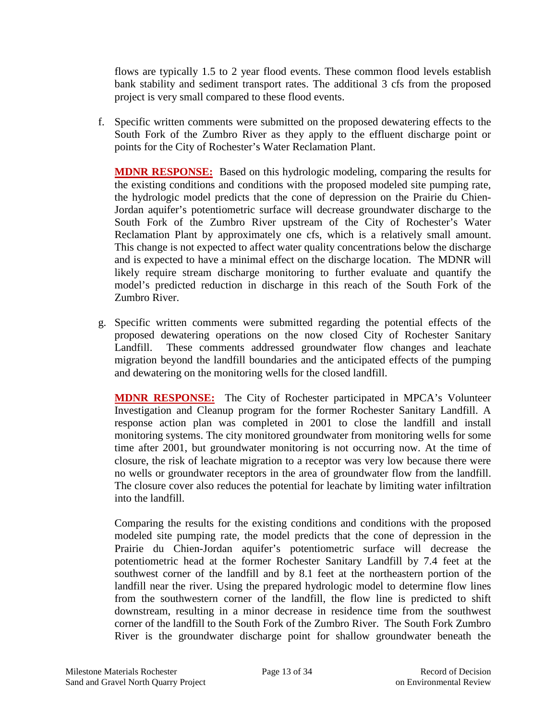flows are typically 1.5 to 2 year flood events. These common flood levels establish bank stability and sediment transport rates. The additional 3 cfs from the proposed project is very small compared to these flood events.

f. Specific written comments were submitted on the proposed dewatering effects to the South Fork of the Zumbro River as they apply to the effluent discharge point or points for the City of Rochester's Water Reclamation Plant.

**MDNR RESPONSE:** Based on this hydrologic modeling, comparing the results for the existing conditions and conditions with the proposed modeled site pumping rate, the hydrologic model predicts that the cone of depression on the Prairie du Chien-Jordan aquifer's potentiometric surface will decrease groundwater discharge to the South Fork of the Zumbro River upstream of the City of Rochester's Water Reclamation Plant by approximately one cfs, which is a relatively small amount. This change is not expected to affect water quality concentrations below the discharge and is expected to have a minimal effect on the discharge location. The MDNR will likely require stream discharge monitoring to further evaluate and quantify the model's predicted reduction in discharge in this reach of the South Fork of the Zumbro River.

g. Specific written comments were submitted regarding the potential effects of the proposed dewatering operations on the now closed City of Rochester Sanitary Landfill. These comments addressed groundwater flow changes and leachate migration beyond the landfill boundaries and the anticipated effects of the pumping and dewatering on the monitoring wells for the closed landfill.

**MDNR RESPONSE:** The City of Rochester participated in MPCA's Volunteer Investigation and Cleanup program for the former Rochester Sanitary Landfill. A response action plan was completed in 2001 to close the landfill and install monitoring systems. The city monitored groundwater from monitoring wells for some time after 2001, but groundwater monitoring is not occurring now. At the time of closure, the risk of leachate migration to a receptor was very low because there were no wells or groundwater receptors in the area of groundwater flow from the landfill. The closure cover also reduces the potential for leachate by limiting water infiltration into the landfill.

Comparing the results for the existing conditions and conditions with the proposed modeled site pumping rate, the model predicts that the cone of depression in the Prairie du Chien-Jordan aquifer's potentiometric surface will decrease the potentiometric head at the former Rochester Sanitary Landfill by 7.4 feet at the southwest corner of the landfill and by 8.1 feet at the northeastern portion of the landfill near the river. Using the prepared hydrologic model to determine flow lines from the southwestern corner of the landfill, the flow line is predicted to shift downstream, resulting in a minor decrease in residence time from the southwest corner of the landfill to the South Fork of the Zumbro River. The South Fork Zumbro River is the groundwater discharge point for shallow groundwater beneath the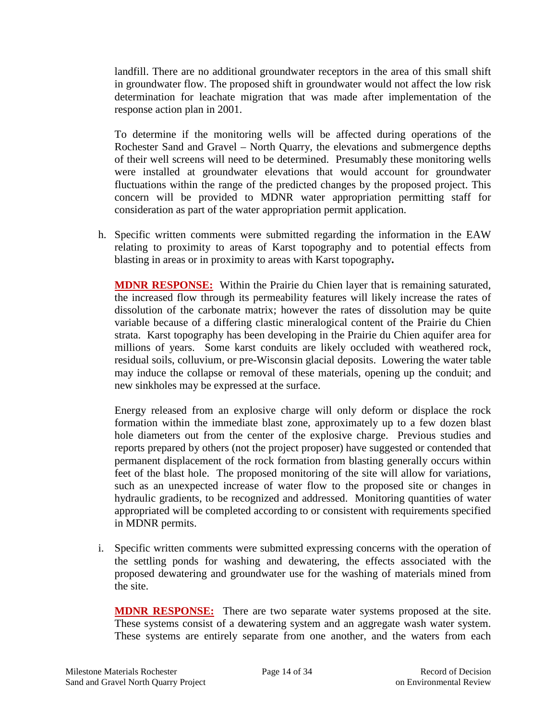landfill. There are no additional groundwater receptors in the area of this small shift in groundwater flow. The proposed shift in groundwater would not affect the low risk determination for leachate migration that was made after implementation of the response action plan in 2001.

To determine if the monitoring wells will be affected during operations of the Rochester Sand and Gravel – North Quarry, the elevations and submergence depths of their well screens will need to be determined. Presumably these monitoring wells were installed at groundwater elevations that would account for groundwater fluctuations within the range of the predicted changes by the proposed project. This concern will be provided to MDNR water appropriation permitting staff for consideration as part of the water appropriation permit application.

h. Specific written comments were submitted regarding the information in the EAW relating to proximity to areas of Karst topography and to potential effects from blasting in areas or in proximity to areas with Karst topography**.**

**MDNR RESPONSE:** Within the Prairie du Chien layer that is remaining saturated, the increased flow through its permeability features will likely increase the rates of dissolution of the carbonate matrix; however the rates of dissolution may be quite variable because of a differing clastic mineralogical content of the Prairie du Chien strata. Karst topography has been developing in the Prairie du Chien aquifer area for millions of years. Some karst conduits are likely occluded with weathered rock, residual soils, colluvium, or pre-Wisconsin glacial deposits. Lowering the water table may induce the collapse or removal of these materials, opening up the conduit; and new sinkholes may be expressed at the surface.

Energy released from an explosive charge will only deform or displace the rock formation within the immediate blast zone, approximately up to a few dozen blast hole diameters out from the center of the explosive charge. Previous studies and reports prepared by others (not the project proposer) have suggested or contended that permanent displacement of the rock formation from blasting generally occurs within feet of the blast hole. The proposed monitoring of the site will allow for variations, such as an unexpected increase of water flow to the proposed site or changes in hydraulic gradients, to be recognized and addressed. Monitoring quantities of water appropriated will be completed according to or consistent with requirements specified in MDNR permits.

i. Specific written comments were submitted expressing concerns with the operation of the settling ponds for washing and dewatering, the effects associated with the proposed dewatering and groundwater use for the washing of materials mined from the site.

**MDNR RESPONSE:** There are two separate water systems proposed at the site. These systems consist of a dewatering system and an aggregate wash water system. These systems are entirely separate from one another, and the waters from each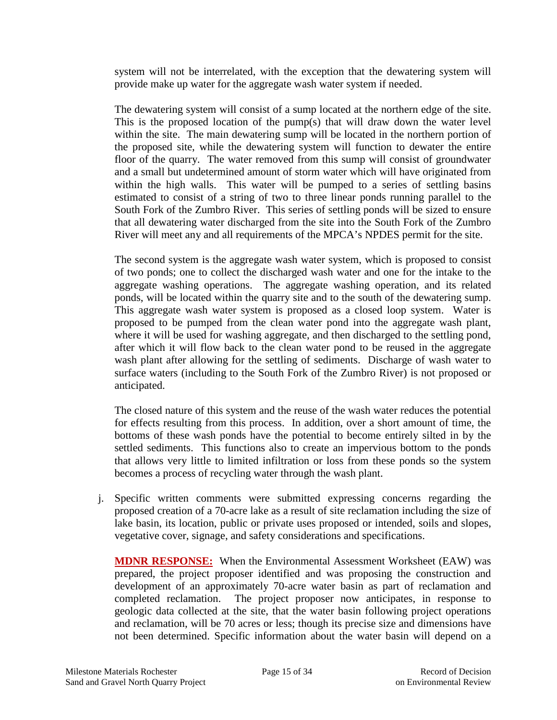system will not be interrelated, with the exception that the dewatering system will provide make up water for the aggregate wash water system if needed.

The dewatering system will consist of a sump located at the northern edge of the site. This is the proposed location of the pump(s) that will draw down the water level within the site. The main dewatering sump will be located in the northern portion of the proposed site, while the dewatering system will function to dewater the entire floor of the quarry. The water removed from this sump will consist of groundwater and a small but undetermined amount of storm water which will have originated from within the high walls. This water will be pumped to a series of settling basins estimated to consist of a string of two to three linear ponds running parallel to the South Fork of the Zumbro River. This series of settling ponds will be sized to ensure that all dewatering water discharged from the site into the South Fork of the Zumbro River will meet any and all requirements of the MPCA's NPDES permit for the site.

The second system is the aggregate wash water system, which is proposed to consist of two ponds; one to collect the discharged wash water and one for the intake to the aggregate washing operations. The aggregate washing operation, and its related ponds, will be located within the quarry site and to the south of the dewatering sump. This aggregate wash water system is proposed as a closed loop system. Water is proposed to be pumped from the clean water pond into the aggregate wash plant, where it will be used for washing aggregate, and then discharged to the settling pond, after which it will flow back to the clean water pond to be reused in the aggregate wash plant after allowing for the settling of sediments. Discharge of wash water to surface waters (including to the South Fork of the Zumbro River) is not proposed or anticipated.

The closed nature of this system and the reuse of the wash water reduces the potential for effects resulting from this process. In addition, over a short amount of time, the bottoms of these wash ponds have the potential to become entirely silted in by the settled sediments. This functions also to create an impervious bottom to the ponds that allows very little to limited infiltration or loss from these ponds so the system becomes a process of recycling water through the wash plant.

j. Specific written comments were submitted expressing concerns regarding the proposed creation of a 70-acre lake as a result of site reclamation including the size of lake basin, its location, public or private uses proposed or intended, soils and slopes, vegetative cover, signage, and safety considerations and specifications.

**MDNR RESPONSE:** When the Environmental Assessment Worksheet (EAW) was prepared, the project proposer identified and was proposing the construction and development of an approximately 70-acre water basin as part of reclamation and completed reclamation. The project proposer now anticipates, in response to geologic data collected at the site, that the water basin following project operations and reclamation, will be 70 acres or less; though its precise size and dimensions have not been determined. Specific information about the water basin will depend on a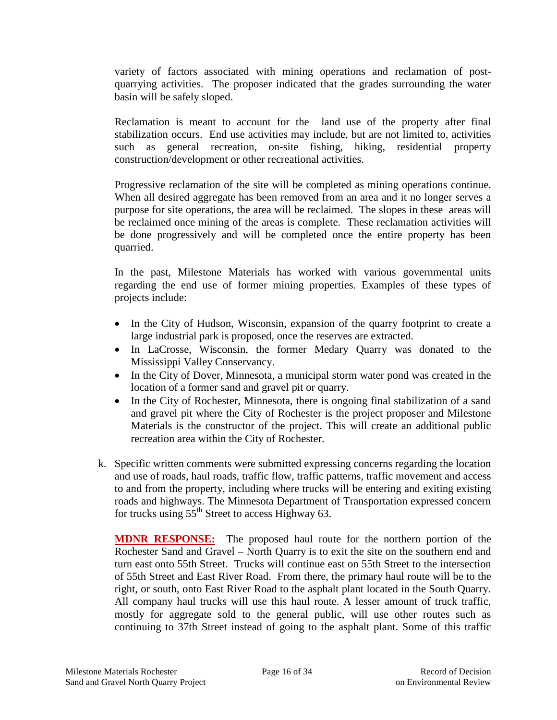variety of factors associated with mining operations and reclamation of postquarrying activities. The proposer indicated that the grades surrounding the water basin will be safely sloped.

Reclamation is meant to account for the land use of the property after final stabilization occurs. End use activities may include, but are not limited to, activities such as general recreation, on-site fishing, hiking, residential property construction/development or other recreational activities.

Progressive reclamation of the site will be completed as mining operations continue. When all desired aggregate has been removed from an area and it no longer serves a purpose for site operations, the area will be reclaimed. The slopes in these areas will be reclaimed once mining of the areas is complete. These reclamation activities will be done progressively and will be completed once the entire property has been quarried.

In the past, Milestone Materials has worked with various governmental units regarding the end use of former mining properties. Examples of these types of projects include:

- In the City of Hudson, Wisconsin, expansion of the quarry footprint to create a large industrial park is proposed, once the reserves are extracted.
- In LaCrosse, Wisconsin, the former Medary Quarry was donated to the Mississippi Valley Conservancy.
- In the City of Dover, Minnesota, a municipal storm water pond was created in the location of a former sand and gravel pit or quarry.
- In the City of Rochester, Minnesota, there is ongoing final stabilization of a sand and gravel pit where the City of Rochester is the project proposer and Milestone Materials is the constructor of the project. This will create an additional public recreation area within the City of Rochester.
- k. Specific written comments were submitted expressing concerns regarding the location and use of roads, haul roads, traffic flow, traffic patterns, traffic movement and access to and from the property, including where trucks will be entering and exiting existing roads and highways. The Minnesota Department of Transportation expressed concern for trucks using  $55<sup>th</sup>$  Street to access Highway 63.

**MDNR RESPONSE:** The proposed haul route for the northern portion of the Rochester Sand and Gravel – North Quarry is to exit the site on the southern end and turn east onto 55th Street. Trucks will continue east on 55th Street to the intersection of 55th Street and East River Road. From there, the primary haul route will be to the right, or south, onto East River Road to the asphalt plant located in the South Quarry. All company haul trucks will use this haul route. A lesser amount of truck traffic, mostly for aggregate sold to the general public, will use other routes such as continuing to 37th Street instead of going to the asphalt plant. Some of this traffic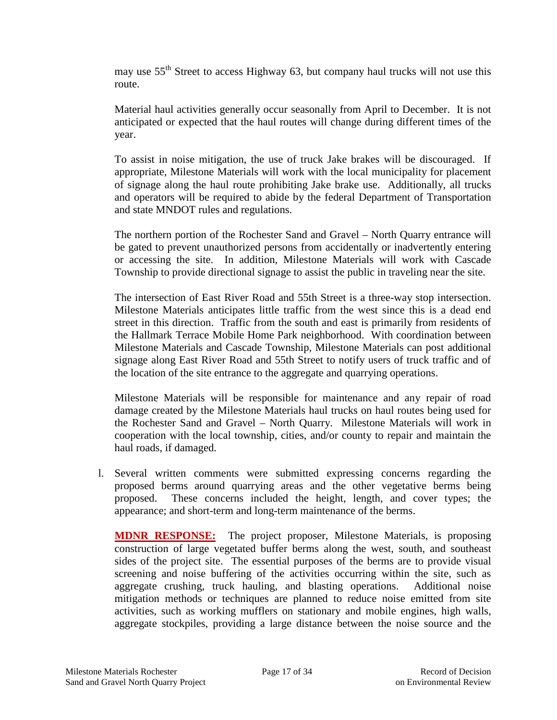may use 55<sup>th</sup> Street to access Highway 63, but company haul trucks will not use this route.

Material haul activities generally occur seasonally from April to December. It is not anticipated or expected that the haul routes will change during different times of the year.

To assist in noise mitigation, the use of truck Jake brakes will be discouraged. If appropriate, Milestone Materials will work with the local municipality for placement of signage along the haul route prohibiting Jake brake use. Additionally, all trucks and operators will be required to abide by the federal Department of Transportation and state MNDOT rules and regulations.

The northern portion of the Rochester Sand and Gravel – North Quarry entrance will be gated to prevent unauthorized persons from accidentally or inadvertently entering or accessing the site. In addition, Milestone Materials will work with Cascade Township to provide directional signage to assist the public in traveling near the site.

The intersection of East River Road and 55th Street is a three-way stop intersection. Milestone Materials anticipates little traffic from the west since this is a dead end street in this direction. Traffic from the south and east is primarily from residents of the Hallmark Terrace Mobile Home Park neighborhood. With coordination between Milestone Materials and Cascade Township, Milestone Materials can post additional signage along East River Road and 55th Street to notify users of truck traffic and of the location of the site entrance to the aggregate and quarrying operations.

Milestone Materials will be responsible for maintenance and any repair of road damage created by the Milestone Materials haul trucks on haul routes being used for the Rochester Sand and Gravel – North Quarry. Milestone Materials will work in cooperation with the local township, cities, and/or county to repair and maintain the haul roads, if damaged.

l. Several written comments were submitted expressing concerns regarding the proposed berms around quarrying areas and the other vegetative berms being proposed. These concerns included the height, length, and cover types; the appearance; and short-term and long-term maintenance of the berms.

**MDNR RESPONSE:** The project proposer, Milestone Materials, is proposing construction of large vegetated buffer berms along the west, south, and southeast sides of the project site. The essential purposes of the berms are to provide visual screening and noise buffering of the activities occurring within the site, such as aggregate crushing, truck hauling, and blasting operations. Additional noise mitigation methods or techniques are planned to reduce noise emitted from site activities, such as working mufflers on stationary and mobile engines, high walls, aggregate stockpiles, providing a large distance between the noise source and the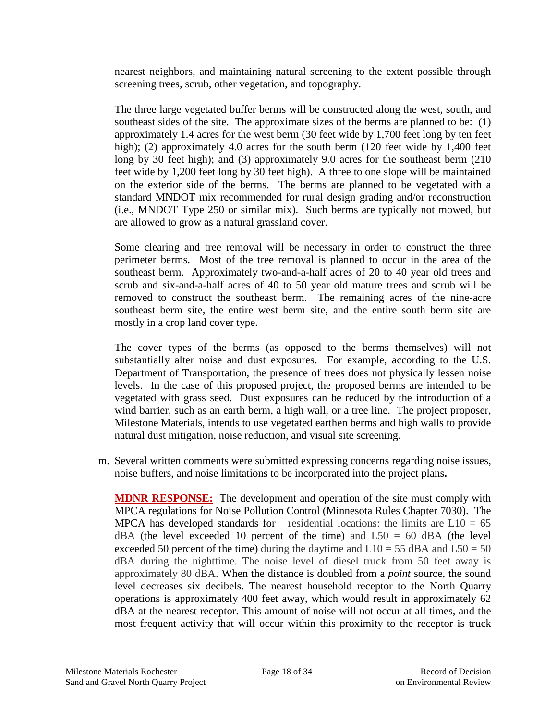nearest neighbors, and maintaining natural screening to the extent possible through screening trees, scrub, other vegetation, and topography.

The three large vegetated buffer berms will be constructed along the west, south, and southeast sides of the site. The approximate sizes of the berms are planned to be: (1) approximately 1.4 acres for the west berm (30 feet wide by 1,700 feet long by ten feet high); (2) approximately 4.0 acres for the south berm (120 feet wide by 1,400 feet long by 30 feet high); and (3) approximately 9.0 acres for the southeast berm (210 feet wide by 1,200 feet long by 30 feet high). A three to one slope will be maintained on the exterior side of the berms. The berms are planned to be vegetated with a standard MNDOT mix recommended for rural design grading and/or reconstruction (i.e., MNDOT Type 250 or similar mix).Such berms are typically not mowed, but are allowed to grow as a natural grassland cover.

Some clearing and tree removal will be necessary in order to construct the three perimeter berms. Most of the tree removal is planned to occur in the area of the southeast berm. Approximately two-and-a-half acres of 20 to 40 year old trees and scrub and six-and-a-half acres of 40 to 50 year old mature trees and scrub will be removed to construct the southeast berm. The remaining acres of the nine-acre southeast berm site, the entire west berm site, and the entire south berm site are mostly in a crop land cover type.

The cover types of the berms (as opposed to the berms themselves) will not substantially alter noise and dust exposures. For example, according to the U.S. Department of Transportation, the presence of trees does not physically lessen noise levels. In the case of this proposed project, the proposed berms are intended to be vegetated with grass seed. Dust exposures can be reduced by the introduction of a wind barrier, such as an earth berm, a high wall, or a tree line. The project proposer, Milestone Materials, intends to use vegetated earthen berms and high walls to provide natural dust mitigation, noise reduction, and visual site screening.

m. Several written comments were submitted expressing concerns regarding noise issues, noise buffers, and noise limitations to be incorporated into the project plans**.**

**MDNR RESPONSE:** The development and operation of the site must comply with MPCA regulations for Noise Pollution Control (Minnesota Rules Chapter 7030). The MPCA has developed standards for residential locations: the limits are  $L10 = 65$  $dBA$  (the level exceeded 10 percent of the time) and  $L50 = 60$  dBA (the level exceeded 50 percent of the time) during the daytime and  $L10 = 55$  dBA and  $L50 = 50$ dBA during the nighttime. The noise level of diesel truck from 50 feet away is approximately 80 dBA. When the distance is doubled from a *point* source, the sound level decreases six decibels. The nearest household receptor to the North Quarry operations is approximately 400 feet away, which would result in approximately 62 dBA at the nearest receptor. This amount of noise will not occur at all times, and the most frequent activity that will occur within this proximity to the receptor is truck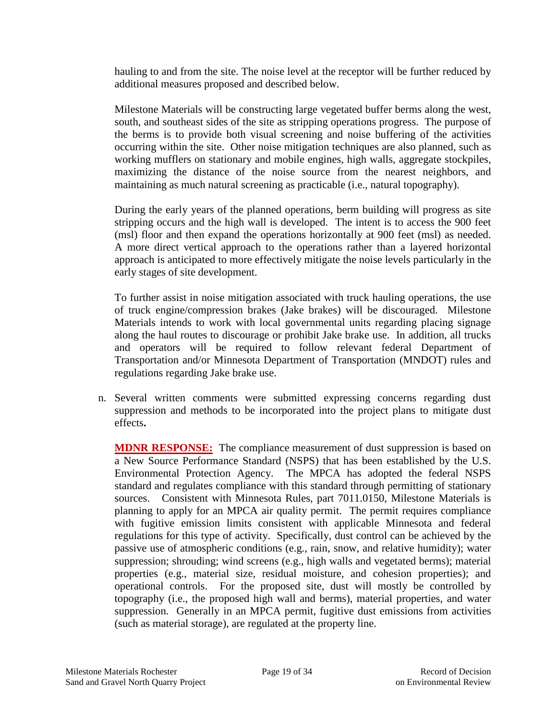hauling to and from the site. The noise level at the receptor will be further reduced by additional measures proposed and described below.

Milestone Materials will be constructing large vegetated buffer berms along the west, south, and southeast sides of the site as stripping operations progress. The purpose of the berms is to provide both visual screening and noise buffering of the activities occurring within the site. Other noise mitigation techniques are also planned, such as working mufflers on stationary and mobile engines, high walls, aggregate stockpiles, maximizing the distance of the noise source from the nearest neighbors, and maintaining as much natural screening as practicable (i.e., natural topography).

During the early years of the planned operations, berm building will progress as site stripping occurs and the high wall is developed. The intent is to access the 900 feet (msl) floor and then expand the operations horizontally at 900 feet (msl) as needed. A more direct vertical approach to the operations rather than a layered horizontal approach is anticipated to more effectively mitigate the noise levels particularly in the early stages of site development.

To further assist in noise mitigation associated with truck hauling operations, the use of truck engine/compression brakes (Jake brakes) will be discouraged. Milestone Materials intends to work with local governmental units regarding placing signage along the haul routes to discourage or prohibit Jake brake use. In addition, all trucks and operators will be required to follow relevant federal Department of Transportation and/or Minnesota Department of Transportation (MNDOT) rules and regulations regarding Jake brake use.

n. Several written comments were submitted expressing concerns regarding dust suppression and methods to be incorporated into the project plans to mitigate dust effects**.**

**MDNR RESPONSE:** The compliance measurement of dust suppression is based on a New Source Performance Standard (NSPS) that has been established by the U.S. Environmental Protection Agency. The MPCA has adopted the federal NSPS standard and regulates compliance with this standard through permitting of stationary sources. Consistent with Minnesota Rules, part 7011.0150, Milestone Materials is planning to apply for an MPCA air quality permit. The permit requires compliance with fugitive emission limits consistent with applicable Minnesota and federal regulations for this type of activity. Specifically, dust control can be achieved by the passive use of atmospheric conditions (e.g., rain, snow, and relative humidity); water suppression; shrouding; wind screens (e.g., high walls and vegetated berms); material properties (e.g., material size, residual moisture, and cohesion properties); and operational controls. For the proposed site, dust will mostly be controlled by topography (i.e., the proposed high wall and berms), material properties, and water suppression. Generally in an MPCA permit, fugitive dust emissions from activities (such as material storage), are regulated at the property line.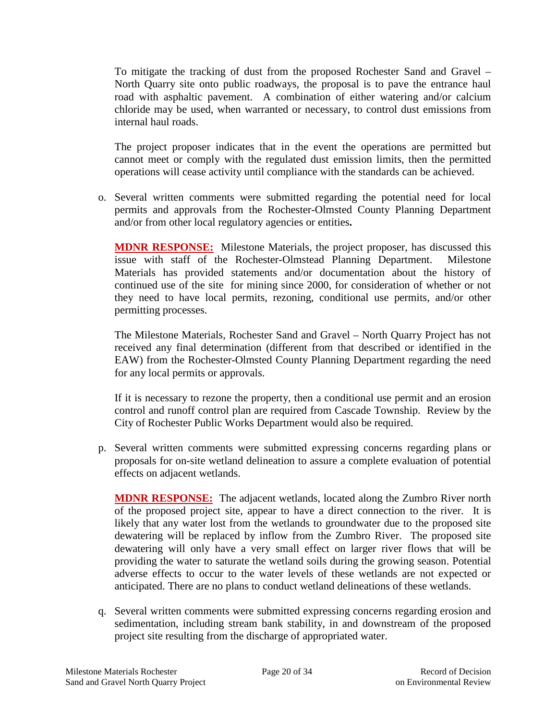To mitigate the tracking of dust from the proposed Rochester Sand and Gravel – North Quarry site onto public roadways, the proposal is to pave the entrance haul road with asphaltic pavement. A combination of either watering and/or calcium chloride may be used, when warranted or necessary, to control dust emissions from internal haul roads.

The project proposer indicates that in the event the operations are permitted but cannot meet or comply with the regulated dust emission limits, then the permitted operations will cease activity until compliance with the standards can be achieved.

o. Several written comments were submitted regarding the potential need for local permits and approvals from the Rochester-Olmsted County Planning Department and/or from other local regulatory agencies or entities**.**

**MDNR RESPONSE:** Milestone Materials, the project proposer, has discussed this issue with staff of the Rochester-Olmstead Planning Department. Milestone Materials has provided statements and/or documentation about the history of continued use of the site for mining since 2000, for consideration of whether or not they need to have local permits, rezoning, conditional use permits, and/or other permitting processes.

The Milestone Materials, Rochester Sand and Gravel – North Quarry Project has not received any final determination (different from that described or identified in the EAW) from the Rochester-Olmsted County Planning Department regarding the need for any local permits or approvals.

If it is necessary to rezone the property, then a conditional use permit and an erosion control and runoff control plan are required from Cascade Township. Review by the City of Rochester Public Works Department would also be required.

p. Several written comments were submitted expressing concerns regarding plans or proposals for on-site wetland delineation to assure a complete evaluation of potential effects on adjacent wetlands.

**MDNR RESPONSE:** The adjacent wetlands, located along the Zumbro River north of the proposed project site, appear to have a direct connection to the river. It is likely that any water lost from the wetlands to groundwater due to the proposed site dewatering will be replaced by inflow from the Zumbro River. The proposed site dewatering will only have a very small effect on larger river flows that will be providing the water to saturate the wetland soils during the growing season. Potential adverse effects to occur to the water levels of these wetlands are not expected or anticipated. There are no plans to conduct wetland delineations of these wetlands.

q. Several written comments were submitted expressing concerns regarding erosion and sedimentation, including stream bank stability, in and downstream of the proposed project site resulting from the discharge of appropriated water.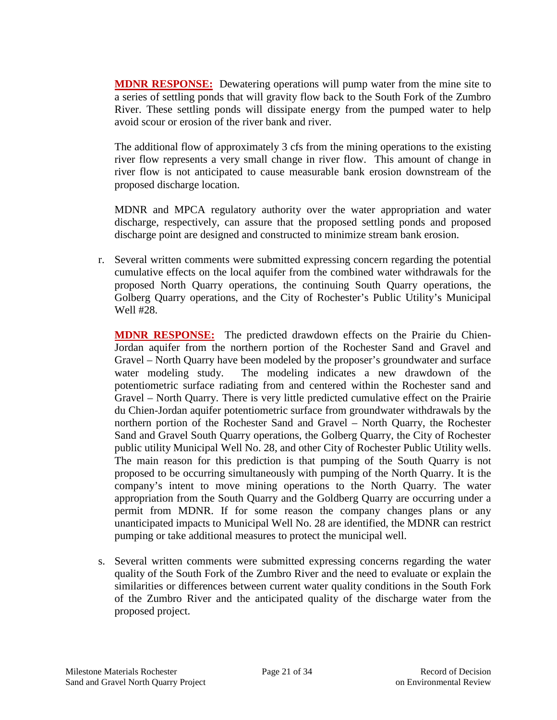**MDNR RESPONSE:** Dewatering operations will pump water from the mine site to a series of settling ponds that will gravity flow back to the South Fork of the Zumbro River. These settling ponds will dissipate energy from the pumped water to help avoid scour or erosion of the river bank and river.

The additional flow of approximately 3 cfs from the mining operations to the existing river flow represents a very small change in river flow. This amount of change in river flow is not anticipated to cause measurable bank erosion downstream of the proposed discharge location.

MDNR and MPCA regulatory authority over the water appropriation and water discharge, respectively, can assure that the proposed settling ponds and proposed discharge point are designed and constructed to minimize stream bank erosion.

r. Several written comments were submitted expressing concern regarding the potential cumulative effects on the local aquifer from the combined water withdrawals for the proposed North Quarry operations, the continuing South Quarry operations, the Golberg Quarry operations, and the City of Rochester's Public Utility's Municipal Well #28.

**MDNR RESPONSE:** The predicted drawdown effects on the Prairie du Chien-Jordan aquifer from the northern portion of the Rochester Sand and Gravel and Gravel – North Quarry have been modeled by the proposer's groundwater and surface water modeling study. The modeling indicates a new drawdown of the potentiometric surface radiating from and centered within the Rochester sand and Gravel – North Quarry. There is very little predicted cumulative effect on the Prairie du Chien-Jordan aquifer potentiometric surface from groundwater withdrawals by the northern portion of the Rochester Sand and Gravel – North Quarry, the Rochester Sand and Gravel South Quarry operations, the Golberg Quarry, the City of Rochester public utility Municipal Well No. 28, and other City of Rochester Public Utility wells. The main reason for this prediction is that pumping of the South Quarry is not proposed to be occurring simultaneously with pumping of the North Quarry. It is the company's intent to move mining operations to the North Quarry. The water appropriation from the South Quarry and the Goldberg Quarry are occurring under a permit from MDNR. If for some reason the company changes plans or any unanticipated impacts to Municipal Well No. 28 are identified, the MDNR can restrict pumping or take additional measures to protect the municipal well.

s. Several written comments were submitted expressing concerns regarding the water quality of the South Fork of the Zumbro River and the need to evaluate or explain the similarities or differences between current water quality conditions in the South Fork of the Zumbro River and the anticipated quality of the discharge water from the proposed project.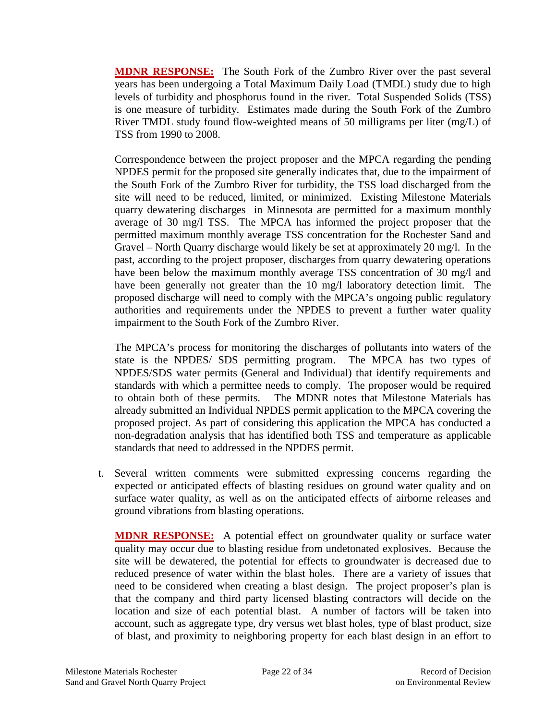**MDNR RESPONSE:** The South Fork of the Zumbro River over the past several years has been undergoing a Total Maximum Daily Load (TMDL) study due to high levels of turbidity and phosphorus found in the river. Total Suspended Solids (TSS) is one measure of turbidity. Estimates made during the South Fork of the Zumbro River TMDL study found flow-weighted means of 50 milligrams per liter (mg/L) of TSS from 1990 to 2008.

Correspondence between the project proposer and the MPCA regarding the pending NPDES permit for the proposed site generally indicates that, due to the impairment of the South Fork of the Zumbro River for turbidity, the TSS load discharged from the site will need to be reduced, limited, or minimized. Existing Milestone Materials quarry dewatering discharges in Minnesota are permitted for a maximum monthly average of 30 mg/l TSS. The MPCA has informed the project proposer that the permitted maximum monthly average TSS concentration for the Rochester Sand and Gravel – North Quarry discharge would likely be set at approximately 20 mg/l. In the past, according to the project proposer, discharges from quarry dewatering operations have been below the maximum monthly average TSS concentration of 30 mg/l and have been generally not greater than the 10 mg/l laboratory detection limit. The proposed discharge will need to comply with the MPCA's ongoing public regulatory authorities and requirements under the NPDES to prevent a further water quality impairment to the South Fork of the Zumbro River.

The MPCA's process for monitoring the discharges of pollutants into waters of the state is the NPDES/ SDS permitting program. The MPCA has two types of NPDES/SDS water permits (General and Individual) that identify requirements and standards with which a permittee needs to comply. The proposer would be required to obtain both of these permits. The MDNR notes that Milestone Materials has already submitted an Individual NPDES permit application to the MPCA covering the proposed project. As part of considering this application the MPCA has conducted a non-degradation analysis that has identified both TSS and temperature as applicable standards that need to addressed in the NPDES permit.

t. Several written comments were submitted expressing concerns regarding the expected or anticipated effects of blasting residues on ground water quality and on surface water quality, as well as on the anticipated effects of airborne releases and ground vibrations from blasting operations.

**MDNR RESPONSE:** A potential effect on groundwater quality or surface water quality may occur due to blasting residue from undetonated explosives. Because the site will be dewatered, the potential for effects to groundwater is decreased due to reduced presence of water within the blast holes. There are a variety of issues that need to be considered when creating a blast design. The project proposer's plan is that the company and third party licensed blasting contractors will decide on the location and size of each potential blast. A number of factors will be taken into account, such as aggregate type, dry versus wet blast holes, type of blast product, size of blast, and proximity to neighboring property for each blast design in an effort to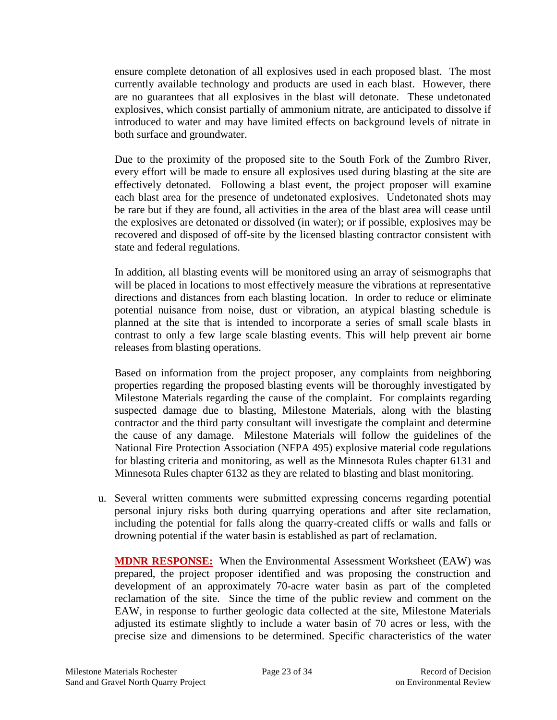ensure complete detonation of all explosives used in each proposed blast. The most currently available technology and products are used in each blast. However, there are no guarantees that all explosives in the blast will detonate. These undetonated explosives, which consist partially of ammonium nitrate, are anticipated to dissolve if introduced to water and may have limited effects on background levels of nitrate in both surface and groundwater.

Due to the proximity of the proposed site to the South Fork of the Zumbro River, every effort will be made to ensure all explosives used during blasting at the site are effectively detonated. Following a blast event, the project proposer will examine each blast area for the presence of undetonated explosives. Undetonated shots may be rare but if they are found, all activities in the area of the blast area will cease until the explosives are detonated or dissolved (in water); or if possible, explosives may be recovered and disposed of off-site by the licensed blasting contractor consistent with state and federal regulations.

In addition, all blasting events will be monitored using an array of seismographs that will be placed in locations to most effectively measure the vibrations at representative directions and distances from each blasting location. In order to reduce or eliminate potential nuisance from noise, dust or vibration, an atypical blasting schedule is planned at the site that is intended to incorporate a series of small scale blasts in contrast to only a few large scale blasting events. This will help prevent air borne releases from blasting operations.

Based on information from the project proposer, any complaints from neighboring properties regarding the proposed blasting events will be thoroughly investigated by Milestone Materials regarding the cause of the complaint. For complaints regarding suspected damage due to blasting, Milestone Materials, along with the blasting contractor and the third party consultant will investigate the complaint and determine the cause of any damage. Milestone Materials will follow the guidelines of the National Fire Protection Association (NFPA 495) explosive material code regulations for blasting criteria and monitoring, as well as the Minnesota Rules chapter 6131 and Minnesota Rules chapter 6132 as they are related to blasting and blast monitoring.

u. Several written comments were submitted expressing concerns regarding potential personal injury risks both during quarrying operations and after site reclamation, including the potential for falls along the quarry-created cliffs or walls and falls or drowning potential if the water basin is established as part of reclamation.

**MDNR RESPONSE:** When the Environmental Assessment Worksheet (EAW) was prepared, the project proposer identified and was proposing the construction and development of an approximately 70-acre water basin as part of the completed reclamation of the site. Since the time of the public review and comment on the EAW, in response to further geologic data collected at the site, Milestone Materials adjusted its estimate slightly to include a water basin of 70 acres or less, with the precise size and dimensions to be determined. Specific characteristics of the water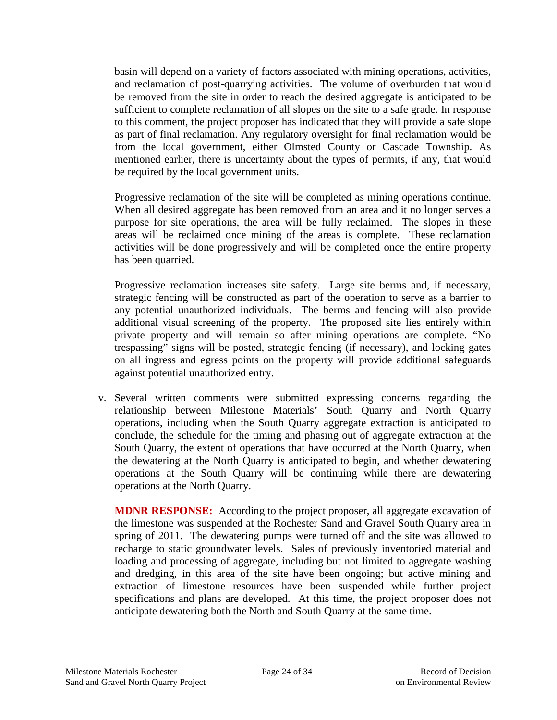basin will depend on a variety of factors associated with mining operations, activities, and reclamation of post-quarrying activities. The volume of overburden that would be removed from the site in order to reach the desired aggregate is anticipated to be sufficient to complete reclamation of all slopes on the site to a safe grade. In response to this comment, the project proposer has indicated that they will provide a safe slope as part of final reclamation. Any regulatory oversight for final reclamation would be from the local government, either Olmsted County or Cascade Township. As mentioned earlier, there is uncertainty about the types of permits, if any, that would be required by the local government units.

Progressive reclamation of the site will be completed as mining operations continue. When all desired aggregate has been removed from an area and it no longer serves a purpose for site operations, the area will be fully reclaimed. The slopes in these areas will be reclaimed once mining of the areas is complete. These reclamation activities will be done progressively and will be completed once the entire property has been quarried.

Progressive reclamation increases site safety. Large site berms and, if necessary, strategic fencing will be constructed as part of the operation to serve as a barrier to any potential unauthorized individuals. The berms and fencing will also provide additional visual screening of the property. The proposed site lies entirely within private property and will remain so after mining operations are complete. "No trespassing" signs will be posted, strategic fencing (if necessary), and locking gates on all ingress and egress points on the property will provide additional safeguards against potential unauthorized entry.

v. Several written comments were submitted expressing concerns regarding the relationship between Milestone Materials' South Quarry and North Quarry operations, including when the South Quarry aggregate extraction is anticipated to conclude, the schedule for the timing and phasing out of aggregate extraction at the South Quarry, the extent of operations that have occurred at the North Quarry, when the dewatering at the North Quarry is anticipated to begin, and whether dewatering operations at the South Quarry will be continuing while there are dewatering operations at the North Quarry.

**MDNR RESPONSE:** According to the project proposer, all aggregate excavation of the limestone was suspended at the Rochester Sand and Gravel South Quarry area in spring of 2011. The dewatering pumps were turned off and the site was allowed to recharge to static groundwater levels. Sales of previously inventoried material and loading and processing of aggregate, including but not limited to aggregate washing and dredging, in this area of the site have been ongoing; but active mining and extraction of limestone resources have been suspended while further project specifications and plans are developed. At this time, the project proposer does not anticipate dewatering both the North and South Quarry at the same time.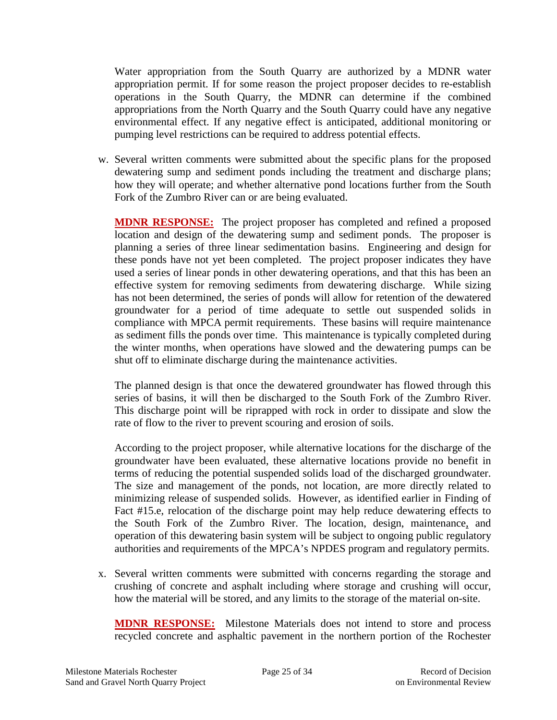Water appropriation from the South Quarry are authorized by a MDNR water appropriation permit. If for some reason the project proposer decides to re-establish operations in the South Quarry, the MDNR can determine if the combined appropriations from the North Quarry and the South Quarry could have any negative environmental effect. If any negative effect is anticipated, additional monitoring or pumping level restrictions can be required to address potential effects.

w. Several written comments were submitted about the specific plans for the proposed dewatering sump and sediment ponds including the treatment and discharge plans; how they will operate; and whether alternative pond locations further from the South Fork of the Zumbro River can or are being evaluated.

**MDNR RESPONSE:** The project proposer has completed and refined a proposed location and design of the dewatering sump and sediment ponds. The proposer is planning a series of three linear sedimentation basins. Engineering and design for these ponds have not yet been completed. The project proposer indicates they have used a series of linear ponds in other dewatering operations, and that this has been an effective system for removing sediments from dewatering discharge. While sizing has not been determined, the series of ponds will allow for retention of the dewatered groundwater for a period of time adequate to settle out suspended solids in compliance with MPCA permit requirements. These basins will require maintenance as sediment fills the ponds over time. This maintenance is typically completed during the winter months, when operations have slowed and the dewatering pumps can be shut off to eliminate discharge during the maintenance activities.

The planned design is that once the dewatered groundwater has flowed through this series of basins, it will then be discharged to the South Fork of the Zumbro River. This discharge point will be riprapped with rock in order to dissipate and slow the rate of flow to the river to prevent scouring and erosion of soils.

According to the project proposer, while alternative locations for the discharge of the groundwater have been evaluated, these alternative locations provide no benefit in terms of reducing the potential suspended solids load of the discharged groundwater. The size and management of the ponds, not location, are more directly related to minimizing release of suspended solids. However, as identified earlier in Finding of Fact #15.e, relocation of the discharge point may help reduce dewatering effects to the South Fork of the Zumbro River. The location, design, maintenance, and operation of this dewatering basin system will be subject to ongoing public regulatory authorities and requirements of the MPCA's NPDES program and regulatory permits.

x. Several written comments were submitted with concerns regarding the storage and crushing of concrete and asphalt including where storage and crushing will occur, how the material will be stored, and any limits to the storage of the material on-site.

**MDNR RESPONSE:** Milestone Materials does not intend to store and process recycled concrete and asphaltic pavement in the northern portion of the Rochester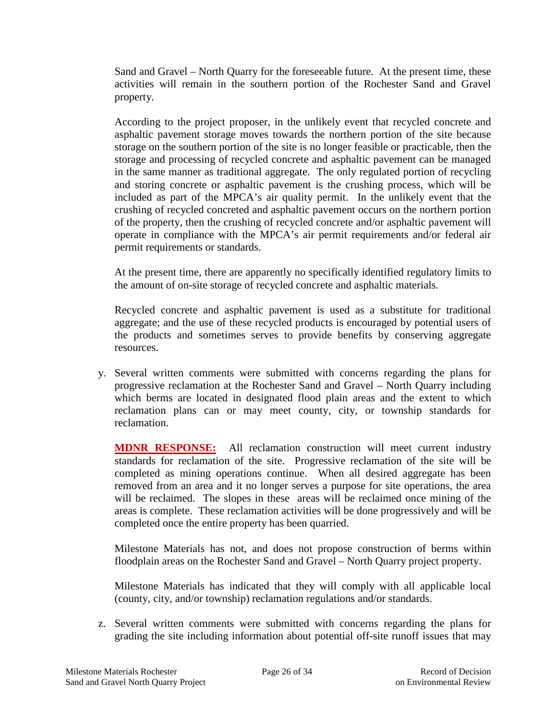Sand and Gravel – North Quarry for the foreseeable future. At the present time, these activities will remain in the southern portion of the Rochester Sand and Gravel property.

According to the project proposer, in the unlikely event that recycled concrete and asphaltic pavement storage moves towards the northern portion of the site because storage on the southern portion of the site is no longer feasible or practicable, then the storage and processing of recycled concrete and asphaltic pavement can be managed in the same manner as traditional aggregate. The only regulated portion of recycling and storing concrete or asphaltic pavement is the crushing process, which will be included as part of the MPCA's air quality permit. In the unlikely event that the crushing of recycled concreted and asphaltic pavement occurs on the northern portion of the property, then the crushing of recycled concrete and/or asphaltic pavement will operate in compliance with the MPCA's air permit requirements and/or federal air permit requirements or standards.

At the present time, there are apparently no specifically identified regulatory limits to the amount of on-site storage of recycled concrete and asphaltic materials.

Recycled concrete and asphaltic pavement is used as a substitute for traditional aggregate; and the use of these recycled products is encouraged by potential users of the products and sometimes serves to provide benefits by conserving aggregate resources.

y. Several written comments were submitted with concerns regarding the plans for progressive reclamation at the Rochester Sand and Gravel – North Quarry including which berms are located in designated flood plain areas and the extent to which reclamation plans can or may meet county, city, or township standards for reclamation.

**MDNR RESPONSE:** All reclamation construction will meet current industry standards for reclamation of the site. Progressive reclamation of the site will be completed as mining operations continue. When all desired aggregate has been removed from an area and it no longer serves a purpose for site operations, the area will be reclaimed. The slopes in these areas will be reclaimed once mining of the areas is complete. These reclamation activities will be done progressively and will be completed once the entire property has been quarried.

Milestone Materials has not, and does not propose construction of berms within floodplain areas on the Rochester Sand and Gravel – North Quarry project property.

Milestone Materials has indicated that they will comply with all applicable local (county, city, and/or township) reclamation regulations and/or standards.

z. Several written comments were submitted with concerns regarding the plans for grading the site including information about potential off-site runoff issues that may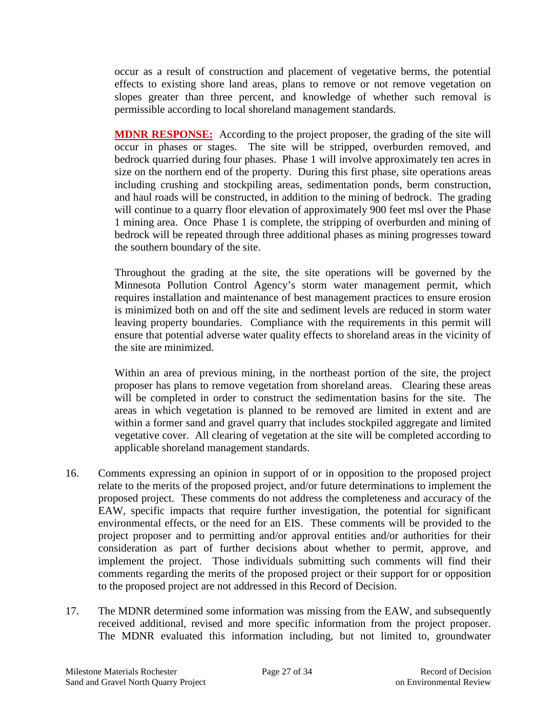occur as a result of construction and placement of vegetative berms, the potential effects to existing shore land areas, plans to remove or not remove vegetation on slopes greater than three percent, and knowledge of whether such removal is permissible according to local shoreland management standards.

**MDNR RESPONSE:** According to the project proposer, the grading of the site will occur in phases or stages. The site will be stripped, overburden removed, and bedrock quarried during four phases. Phase 1 will involve approximately ten acres in size on the northern end of the property. During this first phase, site operations areas including crushing and stockpiling areas, sedimentation ponds, berm construction, and haul roads will be constructed, in addition to the mining of bedrock. The grading will continue to a quarry floor elevation of approximately 900 feet msl over the Phase 1 mining area. Once Phase 1 is complete, the stripping of overburden and mining of bedrock will be repeated through three additional phases as mining progresses toward the southern boundary of the site.

Throughout the grading at the site, the site operations will be governed by the Minnesota Pollution Control Agency's storm water management permit, which requires installation and maintenance of best management practices to ensure erosion is minimized both on and off the site and sediment levels are reduced in storm water leaving property boundaries. Compliance with the requirements in this permit will ensure that potential adverse water quality effects to shoreland areas in the vicinity of the site are minimized.

Within an area of previous mining, in the northeast portion of the site, the project proposer has plans to remove vegetation from shoreland areas. Clearing these areas will be completed in order to construct the sedimentation basins for the site. The areas in which vegetation is planned to be removed are limited in extent and are within a former sand and gravel quarry that includes stockpiled aggregate and limited vegetative cover. All clearing of vegetation at the site will be completed according to applicable shoreland management standards.

- 16. Comments expressing an opinion in support of or in opposition to the proposed project relate to the merits of the proposed project, and/or future determinations to implement the proposed project. These comments do not address the completeness and accuracy of the EAW, specific impacts that require further investigation, the potential for significant environmental effects, or the need for an EIS. These comments will be provided to the project proposer and to permitting and/or approval entities and/or authorities for their consideration as part of further decisions about whether to permit, approve, and implement the project. Those individuals submitting such comments will find their comments regarding the merits of the proposed project or their support for or opposition to the proposed project are not addressed in this Record of Decision.
- 17. The MDNR determined some information was missing from the EAW, and subsequently received additional, revised and more specific information from the project proposer. The MDNR evaluated this information including, but not limited to, groundwater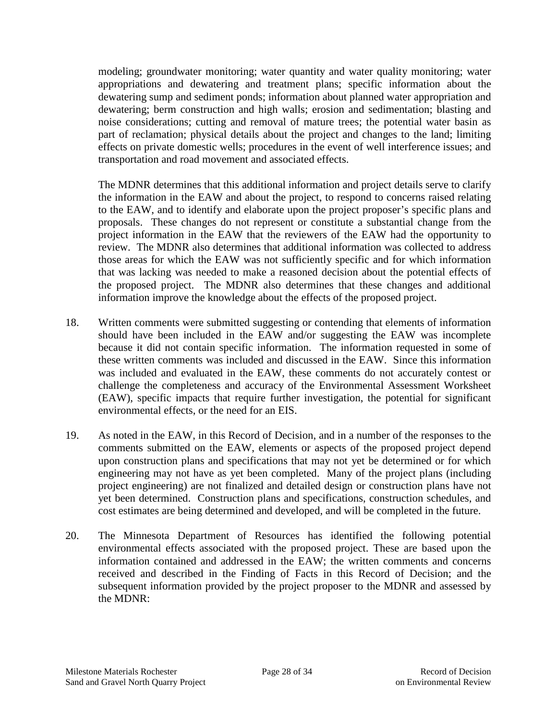modeling; groundwater monitoring; water quantity and water quality monitoring; water appropriations and dewatering and treatment plans; specific information about the dewatering sump and sediment ponds; information about planned water appropriation and dewatering; berm construction and high walls; erosion and sedimentation; blasting and noise considerations; cutting and removal of mature trees; the potential water basin as part of reclamation; physical details about the project and changes to the land; limiting effects on private domestic wells; procedures in the event of well interference issues; and transportation and road movement and associated effects.

The MDNR determines that this additional information and project details serve to clarify the information in the EAW and about the project, to respond to concerns raised relating to the EAW, and to identify and elaborate upon the project proposer's specific plans and proposals. These changes do not represent or constitute a substantial change from the project information in the EAW that the reviewers of the EAW had the opportunity to review. The MDNR also determines that additional information was collected to address those areas for which the EAW was not sufficiently specific and for which information that was lacking was needed to make a reasoned decision about the potential effects of the proposed project. The MDNR also determines that these changes and additional information improve the knowledge about the effects of the proposed project.

- 18. Written comments were submitted suggesting or contending that elements of information should have been included in the EAW and/or suggesting the EAW was incomplete because it did not contain specific information. The information requested in some of these written comments was included and discussed in the EAW. Since this information was included and evaluated in the EAW, these comments do not accurately contest or challenge the completeness and accuracy of the Environmental Assessment Worksheet (EAW), specific impacts that require further investigation, the potential for significant environmental effects, or the need for an EIS.
- 19. As noted in the EAW, in this Record of Decision, and in a number of the responses to the comments submitted on the EAW, elements or aspects of the proposed project depend upon construction plans and specifications that may not yet be determined or for which engineering may not have as yet been completed. Many of the project plans (including project engineering) are not finalized and detailed design or construction plans have not yet been determined. Construction plans and specifications, construction schedules, and cost estimates are being determined and developed, and will be completed in the future.
- 20. The Minnesota Department of Resources has identified the following potential environmental effects associated with the proposed project. These are based upon the information contained and addressed in the EAW; the written comments and concerns received and described in the Finding of Facts in this Record of Decision; and the subsequent information provided by the project proposer to the MDNR and assessed by the MDNR: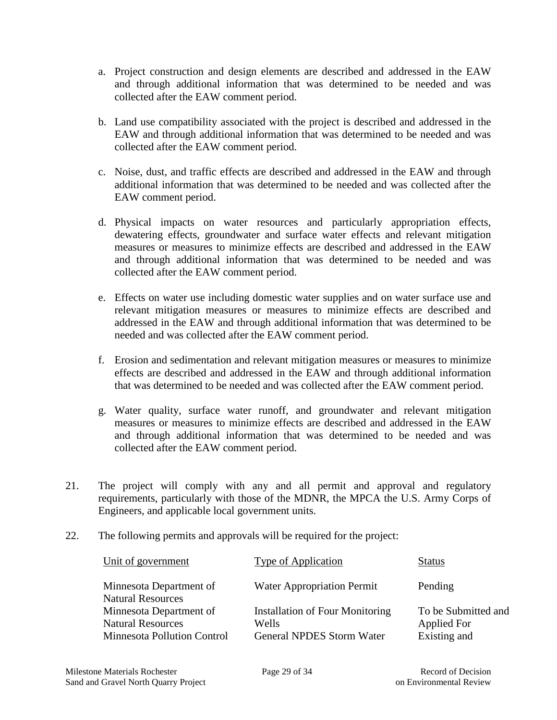- a. Project construction and design elements are described and addressed in the EAW and through additional information that was determined to be needed and was collected after the EAW comment period.
- b. Land use compatibility associated with the project is described and addressed in the EAW and through additional information that was determined to be needed and was collected after the EAW comment period.
- c. Noise, dust, and traffic effects are described and addressed in the EAW and through additional information that was determined to be needed and was collected after the EAW comment period.
- d. Physical impacts on water resources and particularly appropriation effects, dewatering effects, groundwater and surface water effects and relevant mitigation measures or measures to minimize effects are described and addressed in the EAW and through additional information that was determined to be needed and was collected after the EAW comment period.
- e. Effects on water use including domestic water supplies and on water surface use and relevant mitigation measures or measures to minimize effects are described and addressed in the EAW and through additional information that was determined to be needed and was collected after the EAW comment period.
- f. Erosion and sedimentation and relevant mitigation measures or measures to minimize effects are described and addressed in the EAW and through additional information that was determined to be needed and was collected after the EAW comment period.
- g. Water quality, surface water runoff, and groundwater and relevant mitigation measures or measures to minimize effects are described and addressed in the EAW and through additional information that was determined to be needed and was collected after the EAW comment period.
- 21. The project will comply with any and all permit and approval and regulatory requirements, particularly with those of the MDNR, the MPCA the U.S. Army Corps of Engineers, and applicable local government units.
- 22. The following permits and approvals will be required for the project:

| Unit of government                                                                        | <b>Type of Application</b>                                                          | <b>Status</b>                                      |
|-------------------------------------------------------------------------------------------|-------------------------------------------------------------------------------------|----------------------------------------------------|
| Minnesota Department of<br><b>Natural Resources</b>                                       | <b>Water Appropriation Permit</b>                                                   | Pending                                            |
| Minnesota Department of<br><b>Natural Resources</b><br><b>Minnesota Pollution Control</b> | <b>Installation of Four Monitoring</b><br>Wells<br><b>General NPDES Storm Water</b> | To be Submitted and<br>Applied For<br>Existing and |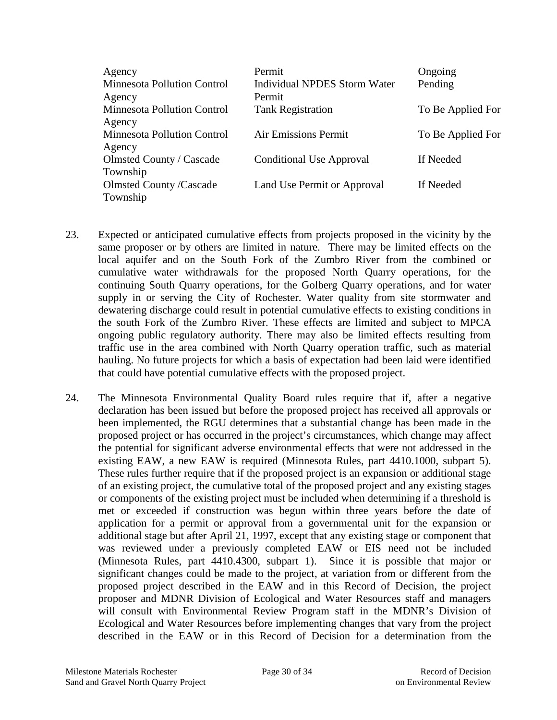| Agency                             | Permit                          | Ongoing           |
|------------------------------------|---------------------------------|-------------------|
| Minnesota Pollution Control        | Individual NPDES Storm Water    | Pending           |
| Agency                             | Permit                          |                   |
| Minnesota Pollution Control        | <b>Tank Registration</b>        | To Be Applied For |
| Agency                             |                                 |                   |
| <b>Minnesota Pollution Control</b> | <b>Air Emissions Permit</b>     | To Be Applied For |
| Agency                             |                                 |                   |
| Olmsted County / Cascade           | <b>Conditional Use Approval</b> | If Needed         |
| Township                           |                                 |                   |
| <b>Olmsted County /Cascade</b>     | Land Use Permit or Approval     | If Needed         |
| Township                           |                                 |                   |

- 23. Expected or anticipated cumulative effects from projects proposed in the vicinity by the same proposer or by others are limited in nature. There may be limited effects on the local aquifer and on the South Fork of the Zumbro River from the combined or cumulative water withdrawals for the proposed North Quarry operations, for the continuing South Quarry operations, for the Golberg Quarry operations, and for water supply in or serving the City of Rochester. Water quality from site stormwater and dewatering discharge could result in potential cumulative effects to existing conditions in the south Fork of the Zumbro River. These effects are limited and subject to MPCA ongoing public regulatory authority. There may also be limited effects resulting from traffic use in the area combined with North Quarry operation traffic, such as material hauling. No future projects for which a basis of expectation had been laid were identified that could have potential cumulative effects with the proposed project.
- 24. The Minnesota Environmental Quality Board rules require that if, after a negative declaration has been issued but before the proposed project has received all approvals or been implemented, the RGU determines that a substantial change has been made in the proposed project or has occurred in the project's circumstances, which change may affect the potential for significant adverse environmental effects that were not addressed in the existing EAW, a new EAW is required (Minnesota Rules, part 4410.1000, subpart 5). These rules further require that if the proposed project is an expansion or additional stage of an existing project, the cumulative total of the proposed project and any existing stages or components of the existing project must be included when determining if a threshold is met or exceeded if construction was begun within three years before the date of application for a permit or approval from a governmental unit for the expansion or additional stage but after April 21, 1997, except that any existing stage or component that was reviewed under a previously completed EAW or EIS need not be included (Minnesota Rules, part 4410.4300, subpart 1). Since it is possible that major or significant changes could be made to the project, at variation from or different from the proposed project described in the EAW and in this Record of Decision, the project proposer and MDNR Division of Ecological and Water Resources staff and managers will consult with Environmental Review Program staff in the MDNR's Division of Ecological and Water Resources before implementing changes that vary from the project described in the EAW or in this Record of Decision for a determination from the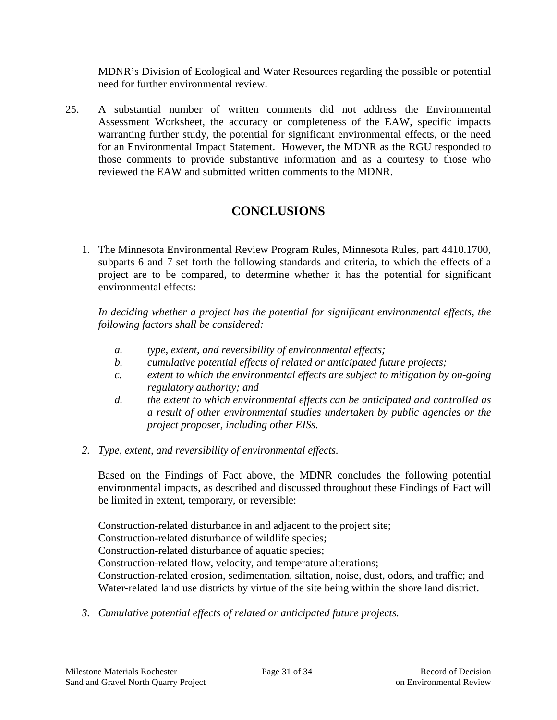MDNR's Division of Ecological and Water Resources regarding the possible or potential need for further environmental review.

25. A substantial number of written comments did not address the Environmental Assessment Worksheet, the accuracy or completeness of the EAW, specific impacts warranting further study, the potential for significant environmental effects, or the need for an Environmental Impact Statement. However, the MDNR as the RGU responded to those comments to provide substantive information and as a courtesy to those who reviewed the EAW and submitted written comments to the MDNR.

# **CONCLUSIONS**

1. The Minnesota Environmental Review Program Rules, Minnesota Rules, part 4410.1700, subparts 6 and 7 set forth the following standards and criteria, to which the effects of a project are to be compared, to determine whether it has the potential for significant environmental effects:

*In deciding whether a project has the potential for significant environmental effects, the following factors shall be considered:*

- *a. type, extent, and reversibility of environmental effects;*
- *b. cumulative potential effects of related or anticipated future projects;*
- *c. extent to which the environmental effects are subject to mitigation by on-going regulatory authority; and*
- *d. the extent to which environmental effects can be anticipated and controlled as a result of other environmental studies undertaken by public agencies or the project proposer, including other EISs.*
- *2. Type, extent, and reversibility of environmental effects.*

Based on the Findings of Fact above, the MDNR concludes the following potential environmental impacts, as described and discussed throughout these Findings of Fact will be limited in extent, temporary, or reversible:

Construction-related disturbance in and adjacent to the project site; Construction-related disturbance of wildlife species; Construction-related disturbance of aquatic species; Construction-related flow, velocity, and temperature alterations; Construction-related erosion, sedimentation, siltation, noise, dust, odors, and traffic; and Water-related land use districts by virtue of the site being within the shore land district.

*3. Cumulative potential effects of related or anticipated future projects.*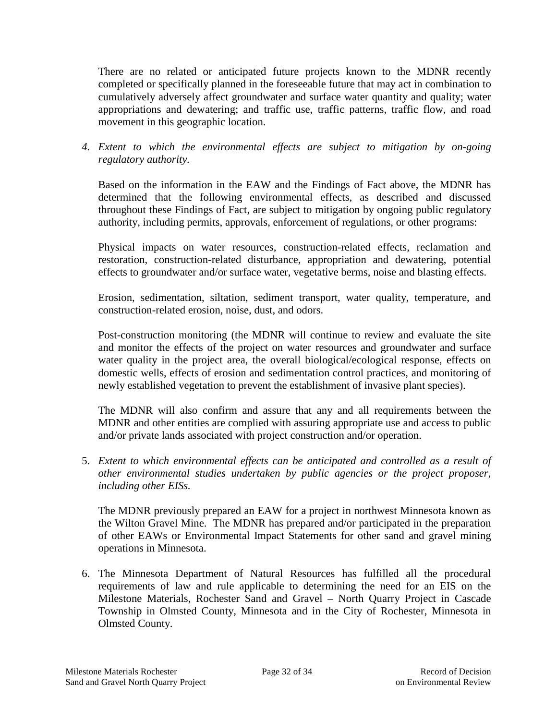There are no related or anticipated future projects known to the MDNR recently completed or specifically planned in the foreseeable future that may act in combination to cumulatively adversely affect groundwater and surface water quantity and quality; water appropriations and dewatering; and traffic use, traffic patterns, traffic flow, and road movement in this geographic location.

*4. Extent to which the environmental effects are subject to mitigation by on-going regulatory authority.*

Based on the information in the EAW and the Findings of Fact above, the MDNR has determined that the following environmental effects, as described and discussed throughout these Findings of Fact, are subject to mitigation by ongoing public regulatory authority, including permits, approvals, enforcement of regulations, or other programs:

Physical impacts on water resources, construction-related effects, reclamation and restoration, construction-related disturbance, appropriation and dewatering, potential effects to groundwater and/or surface water, vegetative berms, noise and blasting effects.

Erosion, sedimentation, siltation, sediment transport, water quality, temperature, and construction-related erosion, noise, dust, and odors.

Post-construction monitoring (the MDNR will continue to review and evaluate the site and monitor the effects of the project on water resources and groundwater and surface water quality in the project area, the overall biological/ecological response, effects on domestic wells, effects of erosion and sedimentation control practices, and monitoring of newly established vegetation to prevent the establishment of invasive plant species).

The MDNR will also confirm and assure that any and all requirements between the MDNR and other entities are complied with assuring appropriate use and access to public and/or private lands associated with project construction and/or operation.

5. *Extent to which environmental effects can be anticipated and controlled as a result of other environmental studies undertaken by public agencies or the project proposer, including other EISs.*

The MDNR previously prepared an EAW for a project in northwest Minnesota known as the Wilton Gravel Mine. The MDNR has prepared and/or participated in the preparation of other EAWs or Environmental Impact Statements for other sand and gravel mining operations in Minnesota.

6. The Minnesota Department of Natural Resources has fulfilled all the procedural requirements of law and rule applicable to determining the need for an EIS on the Milestone Materials, Rochester Sand and Gravel – North Quarry Project in Cascade Township in Olmsted County, Minnesota and in the City of Rochester, Minnesota in Olmsted County.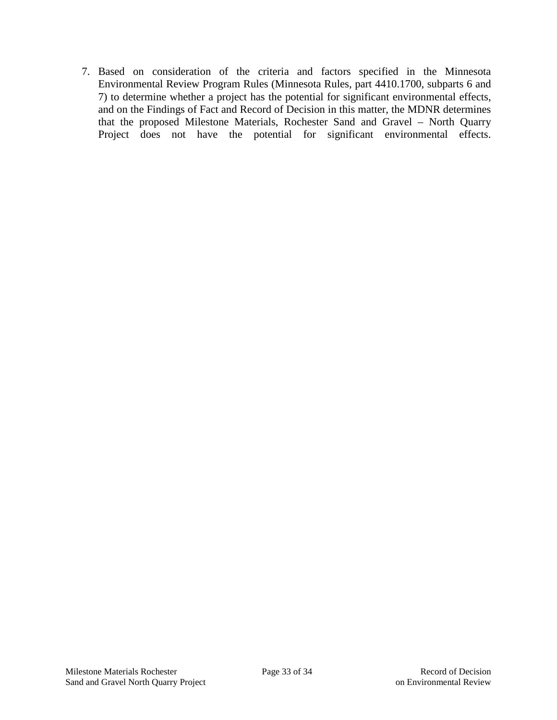7. Based on consideration of the criteria and factors specified in the Minnesota Environmental Review Program Rules (Minnesota Rules, part 4410.1700, subparts 6 and 7) to determine whether a project has the potential for significant environmental effects, and on the Findings of Fact and Record of Decision in this matter, the MDNR determines that the proposed Milestone Materials, Rochester Sand and Gravel – North Quarry Project does not have the potential for significant environmental effects.